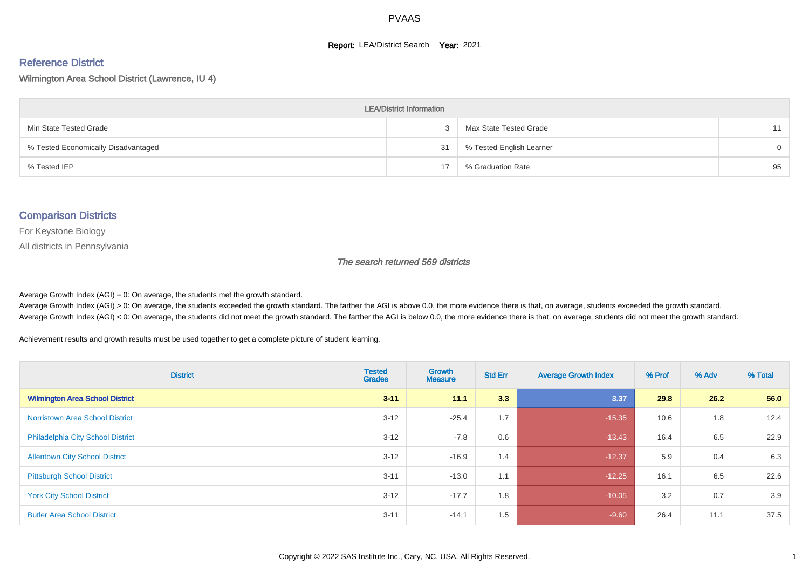#### **Report: LEA/District Search Year: 2021**

# Reference District

Wilmington Area School District (Lawrence, IU 4)

| <b>LEA/District Information</b>     |    |                          |          |  |  |  |  |  |  |  |
|-------------------------------------|----|--------------------------|----------|--|--|--|--|--|--|--|
| Min State Tested Grade              |    | Max State Tested Grade   | 11       |  |  |  |  |  |  |  |
| % Tested Economically Disadvantaged | 31 | % Tested English Learner | $\Omega$ |  |  |  |  |  |  |  |
| % Tested IEP                        | 17 | % Graduation Rate        | 95       |  |  |  |  |  |  |  |

#### Comparison Districts

For Keystone Biology

All districts in Pennsylvania

The search returned 569 districts

Average Growth Index  $(AGI) = 0$ : On average, the students met the growth standard.

Average Growth Index (AGI) > 0: On average, the students exceeded the growth standard. The farther the AGI is above 0.0, the more evidence there is that, on average, students exceeded the growth standard. Average Growth Index (AGI) < 0: On average, the students did not meet the growth standard. The farther the AGI is below 0.0, the more evidence there is that, on average, students did not meet the growth standard.

Achievement results and growth results must be used together to get a complete picture of student learning.

| <b>District</b>                          | <b>Tested</b><br><b>Grades</b> | Growth<br><b>Measure</b> | <b>Std Err</b> | <b>Average Growth Index</b> | % Prof | % Adv | % Total |
|------------------------------------------|--------------------------------|--------------------------|----------------|-----------------------------|--------|-------|---------|
| <b>Wilmington Area School District</b>   | $3 - 11$                       | 11.1                     | 3.3            | 3.37                        | 29.8   | 26.2  | 56.0    |
| <b>Norristown Area School District</b>   | $3 - 12$                       | $-25.4$                  | 1.7            | $-15.35$                    | 10.6   | 1.8   | 12.4    |
| <b>Philadelphia City School District</b> | $3 - 12$                       | $-7.8$                   | 0.6            | $-13.43$                    | 16.4   | 6.5   | 22.9    |
| <b>Allentown City School District</b>    | $3 - 12$                       | $-16.9$                  | 1.4            | $-12.37$                    | 5.9    | 0.4   | 6.3     |
| <b>Pittsburgh School District</b>        | $3 - 11$                       | $-13.0$                  | 1.1            | $-12.25$                    | 16.1   | 6.5   | 22.6    |
| <b>York City School District</b>         | $3 - 12$                       | $-17.7$                  | 1.8            | $-10.05$                    | 3.2    | 0.7   | 3.9     |
| <b>Butler Area School District</b>       | $3 - 11$                       | $-14.1$                  | 1.5            | $-9.60$                     | 26.4   | 11.1  | 37.5    |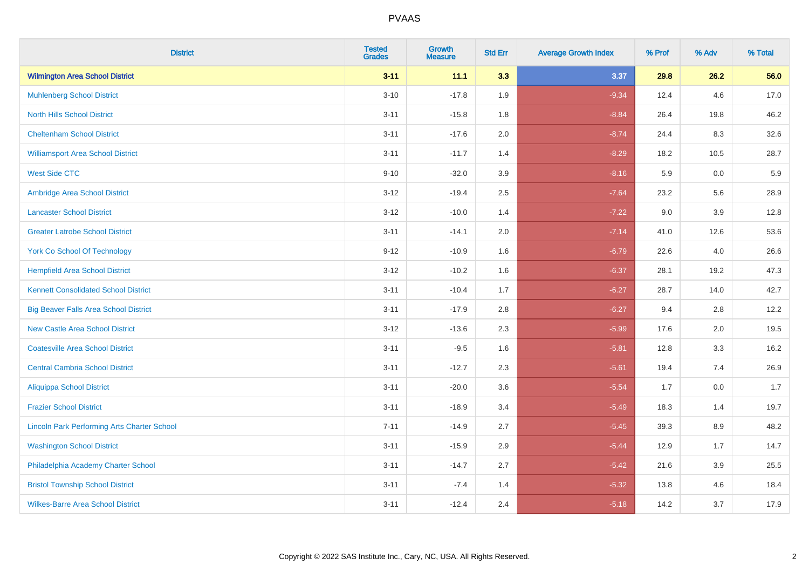| <b>District</b>                                    | <b>Tested</b><br><b>Grades</b> | Growth<br><b>Measure</b> | <b>Std Err</b> | <b>Average Growth Index</b> | % Prof | % Adv   | % Total |
|----------------------------------------------------|--------------------------------|--------------------------|----------------|-----------------------------|--------|---------|---------|
| <b>Wilmington Area School District</b>             | $3 - 11$                       | 11.1                     | 3.3            | 3.37                        | 29.8   | 26.2    | 56.0    |
| <b>Muhlenberg School District</b>                  | $3 - 10$                       | $-17.8$                  | 1.9            | $-9.34$                     | 12.4   | 4.6     | 17.0    |
| <b>North Hills School District</b>                 | $3 - 11$                       | $-15.8$                  | 1.8            | $-8.84$                     | 26.4   | 19.8    | 46.2    |
| <b>Cheltenham School District</b>                  | $3 - 11$                       | $-17.6$                  | 2.0            | $-8.74$                     | 24.4   | 8.3     | 32.6    |
| <b>Williamsport Area School District</b>           | $3 - 11$                       | $-11.7$                  | 1.4            | $-8.29$                     | 18.2   | 10.5    | 28.7    |
| <b>West Side CTC</b>                               | $9 - 10$                       | $-32.0$                  | 3.9            | $-8.16$                     | 5.9    | 0.0     | 5.9     |
| Ambridge Area School District                      | $3 - 12$                       | $-19.4$                  | 2.5            | $-7.64$                     | 23.2   | 5.6     | 28.9    |
| <b>Lancaster School District</b>                   | $3 - 12$                       | $-10.0$                  | 1.4            | $-7.22$                     | 9.0    | 3.9     | 12.8    |
| <b>Greater Latrobe School District</b>             | $3 - 11$                       | $-14.1$                  | 2.0            | $-7.14$                     | 41.0   | 12.6    | 53.6    |
| <b>York Co School Of Technology</b>                | $9 - 12$                       | $-10.9$                  | 1.6            | $-6.79$                     | 22.6   | 4.0     | 26.6    |
| <b>Hempfield Area School District</b>              | $3 - 12$                       | $-10.2$                  | 1.6            | $-6.37$                     | 28.1   | 19.2    | 47.3    |
| <b>Kennett Consolidated School District</b>        | $3 - 11$                       | $-10.4$                  | 1.7            | $-6.27$                     | 28.7   | 14.0    | 42.7    |
| <b>Big Beaver Falls Area School District</b>       | $3 - 11$                       | $-17.9$                  | 2.8            | $-6.27$                     | 9.4    | 2.8     | 12.2    |
| <b>New Castle Area School District</b>             | $3-12$                         | $-13.6$                  | 2.3            | $-5.99$                     | 17.6   | 2.0     | 19.5    |
| <b>Coatesville Area School District</b>            | $3 - 11$                       | $-9.5$                   | 1.6            | $-5.81$                     | 12.8   | 3.3     | 16.2    |
| <b>Central Cambria School District</b>             | $3 - 11$                       | $-12.7$                  | 2.3            | $-5.61$                     | 19.4   | 7.4     | 26.9    |
| <b>Aliquippa School District</b>                   | $3 - 11$                       | $-20.0$                  | 3.6            | $-5.54$                     | 1.7    | 0.0     | 1.7     |
| <b>Frazier School District</b>                     | $3 - 11$                       | $-18.9$                  | 3.4            | $-5.49$                     | 18.3   | 1.4     | 19.7    |
| <b>Lincoln Park Performing Arts Charter School</b> | $7 - 11$                       | $-14.9$                  | 2.7            | $-5.45$                     | 39.3   | 8.9     | 48.2    |
| <b>Washington School District</b>                  | $3 - 11$                       | $-15.9$                  | 2.9            | $-5.44$                     | 12.9   | 1.7     | 14.7    |
| Philadelphia Academy Charter School                | $3 - 11$                       | $-14.7$                  | 2.7            | $-5.42$                     | 21.6   | $3.9\,$ | 25.5    |
| <b>Bristol Township School District</b>            | $3 - 11$                       | $-7.4$                   | 1.4            | $-5.32$                     | 13.8   | 4.6     | 18.4    |
| <b>Wilkes-Barre Area School District</b>           | $3 - 11$                       | $-12.4$                  | 2.4            | $-5.18$                     | 14.2   | 3.7     | 17.9    |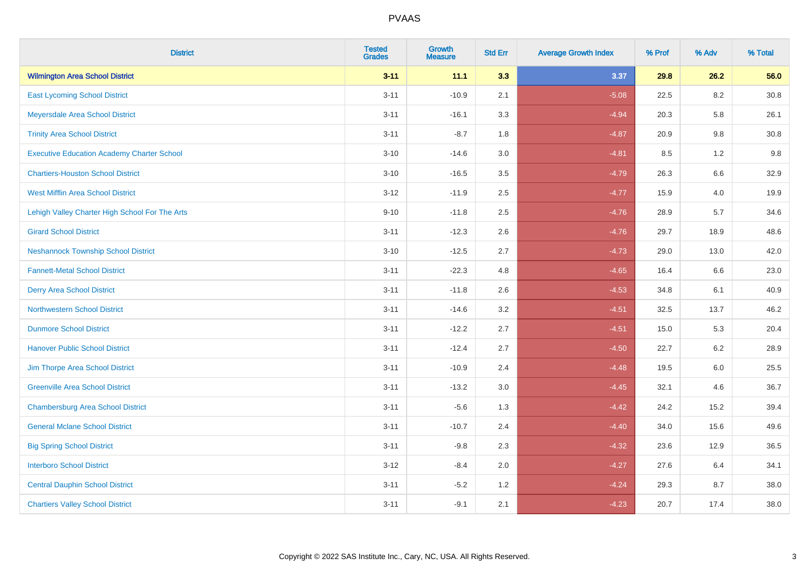| <b>District</b>                                   | <b>Tested</b><br><b>Grades</b> | <b>Growth</b><br><b>Measure</b> | <b>Std Err</b> | <b>Average Growth Index</b> | % Prof | % Adv   | % Total  |
|---------------------------------------------------|--------------------------------|---------------------------------|----------------|-----------------------------|--------|---------|----------|
| <b>Wilmington Area School District</b>            | $3 - 11$                       | 11.1                            | 3.3            | 3.37                        | 29.8   | 26.2    | 56.0     |
| <b>East Lycoming School District</b>              | $3 - 11$                       | $-10.9$                         | 2.1            | $-5.08$                     | 22.5   | 8.2     | $30.8\,$ |
| Meyersdale Area School District                   | $3 - 11$                       | $-16.1$                         | 3.3            | $-4.94$                     | 20.3   | 5.8     | 26.1     |
| <b>Trinity Area School District</b>               | $3 - 11$                       | $-8.7$                          | 1.8            | $-4.87$                     | 20.9   | 9.8     | 30.8     |
| <b>Executive Education Academy Charter School</b> | $3 - 10$                       | $-14.6$                         | 3.0            | $-4.81$                     | 8.5    | 1.2     | 9.8      |
| <b>Chartiers-Houston School District</b>          | $3 - 10$                       | $-16.5$                         | 3.5            | $-4.79$                     | 26.3   | 6.6     | 32.9     |
| <b>West Mifflin Area School District</b>          | $3 - 12$                       | $-11.9$                         | 2.5            | $-4.77$                     | 15.9   | 4.0     | 19.9     |
| Lehigh Valley Charter High School For The Arts    | $9 - 10$                       | $-11.8$                         | 2.5            | $-4.76$                     | 28.9   | 5.7     | 34.6     |
| <b>Girard School District</b>                     | $3 - 11$                       | $-12.3$                         | 2.6            | $-4.76$                     | 29.7   | 18.9    | 48.6     |
| <b>Neshannock Township School District</b>        | $3 - 10$                       | $-12.5$                         | 2.7            | $-4.73$                     | 29.0   | 13.0    | 42.0     |
| <b>Fannett-Metal School District</b>              | $3 - 11$                       | $-22.3$                         | 4.8            | $-4.65$                     | 16.4   | 6.6     | 23.0     |
| <b>Derry Area School District</b>                 | $3 - 11$                       | $-11.8$                         | 2.6            | $-4.53$                     | 34.8   | 6.1     | 40.9     |
| <b>Northwestern School District</b>               | $3 - 11$                       | $-14.6$                         | 3.2            | $-4.51$                     | 32.5   | 13.7    | 46.2     |
| <b>Dunmore School District</b>                    | $3 - 11$                       | $-12.2$                         | 2.7            | $-4.51$                     | 15.0   | 5.3     | 20.4     |
| <b>Hanover Public School District</b>             | $3 - 11$                       | $-12.4$                         | 2.7            | $-4.50$                     | 22.7   | 6.2     | 28.9     |
| Jim Thorpe Area School District                   | $3 - 11$                       | $-10.9$                         | 2.4            | $-4.48$                     | 19.5   | $6.0\,$ | 25.5     |
| <b>Greenville Area School District</b>            | $3 - 11$                       | $-13.2$                         | 3.0            | $-4.45$                     | 32.1   | 4.6     | 36.7     |
| <b>Chambersburg Area School District</b>          | $3 - 11$                       | $-5.6$                          | 1.3            | $-4.42$                     | 24.2   | 15.2    | 39.4     |
| <b>General Mclane School District</b>             | $3 - 11$                       | $-10.7$                         | 2.4            | $-4.40$                     | 34.0   | 15.6    | 49.6     |
| <b>Big Spring School District</b>                 | $3 - 11$                       | $-9.8$                          | 2.3            | $-4.32$                     | 23.6   | 12.9    | 36.5     |
| <b>Interboro School District</b>                  | $3 - 12$                       | $-8.4$                          | 2.0            | $-4.27$                     | 27.6   | 6.4     | 34.1     |
| <b>Central Dauphin School District</b>            | $3 - 11$                       | $-5.2$                          | 1.2            | $-4.24$                     | 29.3   | 8.7     | 38.0     |
| <b>Chartiers Valley School District</b>           | $3 - 11$                       | $-9.1$                          | 2.1            | $-4.23$                     | 20.7   | 17.4    | 38.0     |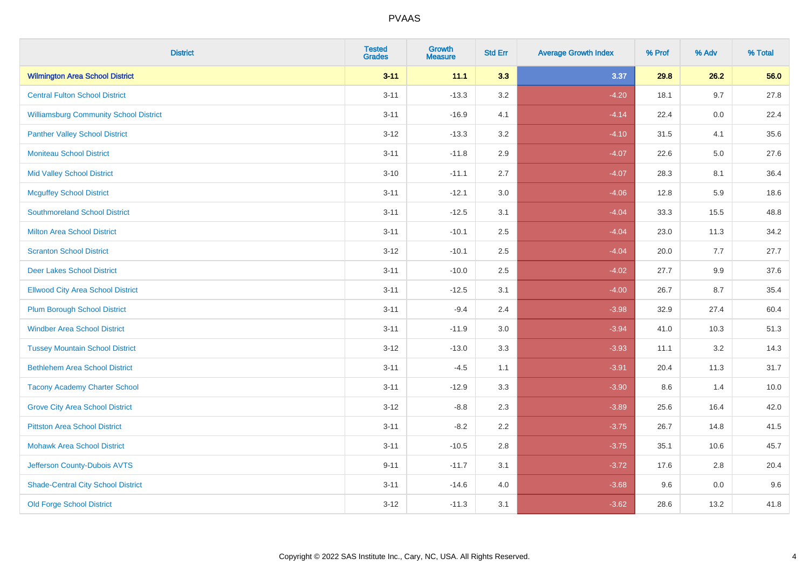| <b>District</b>                               | <b>Tested</b><br><b>Grades</b> | <b>Growth</b><br><b>Measure</b> | <b>Std Err</b> | <b>Average Growth Index</b> | % Prof | % Adv   | % Total |
|-----------------------------------------------|--------------------------------|---------------------------------|----------------|-----------------------------|--------|---------|---------|
| <b>Wilmington Area School District</b>        | $3 - 11$                       | 11.1                            | 3.3            | 3.37                        | 29.8   | 26.2    | 56.0    |
| <b>Central Fulton School District</b>         | $3 - 11$                       | $-13.3$                         | 3.2            | $-4.20$                     | 18.1   | 9.7     | 27.8    |
| <b>Williamsburg Community School District</b> | $3 - 11$                       | $-16.9$                         | 4.1            | $-4.14$                     | 22.4   | 0.0     | 22.4    |
| <b>Panther Valley School District</b>         | $3 - 12$                       | $-13.3$                         | 3.2            | $-4.10$                     | 31.5   | 4.1     | 35.6    |
| <b>Moniteau School District</b>               | $3 - 11$                       | $-11.8$                         | 2.9            | $-4.07$                     | 22.6   | $5.0\,$ | 27.6    |
| <b>Mid Valley School District</b>             | $3 - 10$                       | $-11.1$                         | 2.7            | $-4.07$                     | 28.3   | 8.1     | 36.4    |
| <b>Mcguffey School District</b>               | $3 - 11$                       | $-12.1$                         | 3.0            | $-4.06$                     | 12.8   | 5.9     | 18.6    |
| <b>Southmoreland School District</b>          | $3 - 11$                       | $-12.5$                         | 3.1            | $-4.04$                     | 33.3   | 15.5    | 48.8    |
| <b>Milton Area School District</b>            | $3 - 11$                       | $-10.1$                         | 2.5            | $-4.04$                     | 23.0   | 11.3    | 34.2    |
| <b>Scranton School District</b>               | $3 - 12$                       | $-10.1$                         | $2.5\,$        | $-4.04$                     | 20.0   | 7.7     | 27.7    |
| <b>Deer Lakes School District</b>             | $3 - 11$                       | $-10.0$                         | 2.5            | $-4.02$                     | 27.7   | 9.9     | 37.6    |
| <b>Ellwood City Area School District</b>      | $3 - 11$                       | $-12.5$                         | 3.1            | $-4.00$                     | 26.7   | 8.7     | 35.4    |
| <b>Plum Borough School District</b>           | $3 - 11$                       | $-9.4$                          | 2.4            | $-3.98$                     | 32.9   | 27.4    | 60.4    |
| <b>Windber Area School District</b>           | $3 - 11$                       | $-11.9$                         | 3.0            | $-3.94$                     | 41.0   | 10.3    | 51.3    |
| <b>Tussey Mountain School District</b>        | $3 - 12$                       | $-13.0$                         | 3.3            | $-3.93$                     | 11.1   | 3.2     | 14.3    |
| <b>Bethlehem Area School District</b>         | $3 - 11$                       | $-4.5$                          | 1.1            | $-3.91$                     | 20.4   | 11.3    | 31.7    |
| <b>Tacony Academy Charter School</b>          | $3 - 11$                       | $-12.9$                         | 3.3            | $-3.90$                     | 8.6    | 1.4     | 10.0    |
| <b>Grove City Area School District</b>        | $3 - 12$                       | $-8.8$                          | 2.3            | $-3.89$                     | 25.6   | 16.4    | 42.0    |
| <b>Pittston Area School District</b>          | $3 - 11$                       | $-8.2$                          | 2.2            | $-3.75$                     | 26.7   | 14.8    | 41.5    |
| <b>Mohawk Area School District</b>            | $3 - 11$                       | $-10.5$                         | 2.8            | $-3.75$                     | 35.1   | 10.6    | 45.7    |
| Jefferson County-Dubois AVTS                  | $9 - 11$                       | $-11.7$                         | 3.1            | $-3.72$                     | 17.6   | 2.8     | 20.4    |
| <b>Shade-Central City School District</b>     | $3 - 11$                       | $-14.6$                         | 4.0            | $-3.68$                     | 9.6    | $0.0\,$ | 9.6     |
| <b>Old Forge School District</b>              | $3 - 12$                       | $-11.3$                         | 3.1            | $-3.62$                     | 28.6   | 13.2    | 41.8    |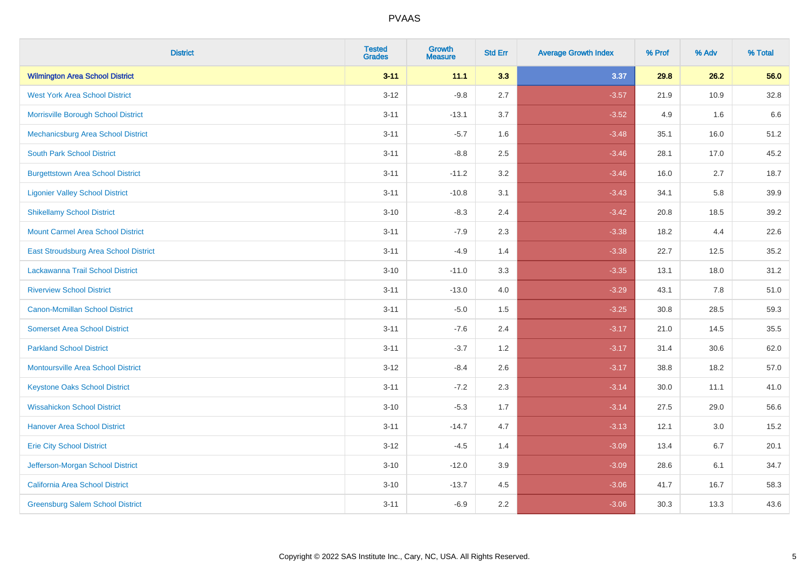| <b>District</b>                           | <b>Tested</b><br><b>Grades</b> | <b>Growth</b><br><b>Measure</b> | <b>Std Err</b> | <b>Average Growth Index</b> | % Prof | % Adv | % Total |
|-------------------------------------------|--------------------------------|---------------------------------|----------------|-----------------------------|--------|-------|---------|
| <b>Wilmington Area School District</b>    | $3 - 11$                       | 11.1                            | 3.3            | 3.37                        | 29.8   | 26.2  | 56.0    |
| <b>West York Area School District</b>     | $3 - 12$                       | $-9.8$                          | 2.7            | $-3.57$                     | 21.9   | 10.9  | 32.8    |
| Morrisville Borough School District       | $3 - 11$                       | $-13.1$                         | 3.7            | $-3.52$                     | 4.9    | 1.6   | 6.6     |
| Mechanicsburg Area School District        | $3 - 11$                       | $-5.7$                          | 1.6            | $-3.48$                     | 35.1   | 16.0  | 51.2    |
| <b>South Park School District</b>         | $3 - 11$                       | $-8.8$                          | 2.5            | $-3.46$                     | 28.1   | 17.0  | 45.2    |
| <b>Burgettstown Area School District</b>  | $3 - 11$                       | $-11.2$                         | 3.2            | $-3.46$                     | 16.0   | 2.7   | 18.7    |
| <b>Ligonier Valley School District</b>    | $3 - 11$                       | $-10.8$                         | 3.1            | $-3.43$                     | 34.1   | 5.8   | 39.9    |
| <b>Shikellamy School District</b>         | $3 - 10$                       | $-8.3$                          | 2.4            | $-3.42$                     | 20.8   | 18.5  | 39.2    |
| <b>Mount Carmel Area School District</b>  | $3 - 11$                       | $-7.9$                          | 2.3            | $-3.38$                     | 18.2   | 4.4   | 22.6    |
| East Stroudsburg Area School District     | $3 - 11$                       | $-4.9$                          | 1.4            | $-3.38$                     | 22.7   | 12.5  | 35.2    |
| Lackawanna Trail School District          | $3 - 10$                       | $-11.0$                         | 3.3            | $-3.35$                     | 13.1   | 18.0  | 31.2    |
| <b>Riverview School District</b>          | $3 - 11$                       | $-13.0$                         | 4.0            | $-3.29$                     | 43.1   | 7.8   | 51.0    |
| Canon-Mcmillan School District            | $3 - 11$                       | $-5.0$                          | 1.5            | $-3.25$                     | 30.8   | 28.5  | 59.3    |
| <b>Somerset Area School District</b>      | $3 - 11$                       | $-7.6$                          | 2.4            | $-3.17$                     | 21.0   | 14.5  | 35.5    |
| <b>Parkland School District</b>           | $3 - 11$                       | $-3.7$                          | 1.2            | $-3.17$                     | 31.4   | 30.6  | 62.0    |
| <b>Montoursville Area School District</b> | $3 - 12$                       | $-8.4$                          | 2.6            | $-3.17$                     | 38.8   | 18.2  | 57.0    |
| <b>Keystone Oaks School District</b>      | $3 - 11$                       | $-7.2$                          | 2.3            | $-3.14$                     | 30.0   | 11.1  | 41.0    |
| <b>Wissahickon School District</b>        | $3 - 10$                       | $-5.3$                          | 1.7            | $-3.14$                     | 27.5   | 29.0  | 56.6    |
| <b>Hanover Area School District</b>       | $3 - 11$                       | $-14.7$                         | 4.7            | $-3.13$                     | 12.1   | 3.0   | 15.2    |
| <b>Erie City School District</b>          | $3 - 12$                       | $-4.5$                          | 1.4            | $-3.09$                     | 13.4   | 6.7   | 20.1    |
| Jefferson-Morgan School District          | $3 - 10$                       | $-12.0$                         | 3.9            | $-3.09$                     | 28.6   | 6.1   | 34.7    |
| California Area School District           | $3 - 10$                       | $-13.7$                         | 4.5            | $-3.06$                     | 41.7   | 16.7  | 58.3    |
| <b>Greensburg Salem School District</b>   | $3 - 11$                       | $-6.9$                          | 2.2            | $-3.06$                     | 30.3   | 13.3  | 43.6    |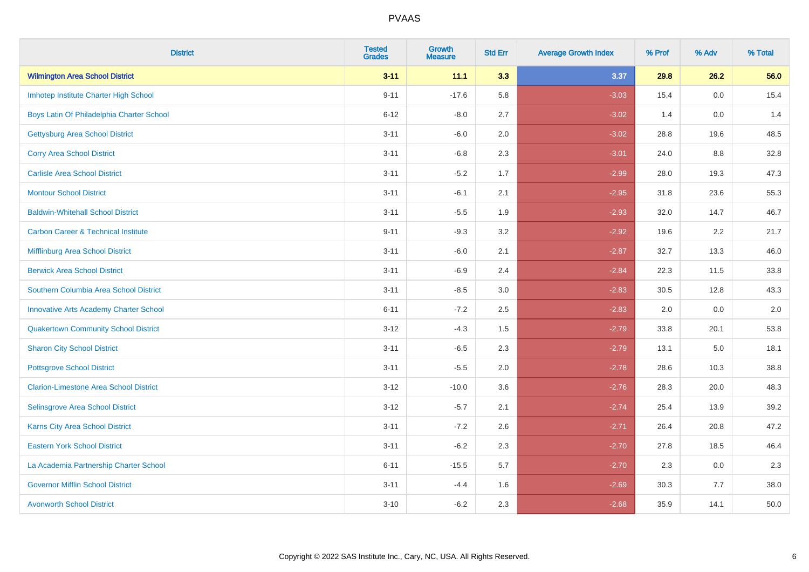| <b>District</b>                                | <b>Tested</b><br><b>Grades</b> | <b>Growth</b><br><b>Measure</b> | <b>Std Err</b> | <b>Average Growth Index</b> | % Prof | % Adv | % Total |
|------------------------------------------------|--------------------------------|---------------------------------|----------------|-----------------------------|--------|-------|---------|
| <b>Wilmington Area School District</b>         | $3 - 11$                       | 11.1                            | 3.3            | 3.37                        | 29.8   | 26.2  | 56.0    |
| Imhotep Institute Charter High School          | $9 - 11$                       | $-17.6$                         | 5.8            | $-3.03$                     | 15.4   | 0.0   | 15.4    |
| Boys Latin Of Philadelphia Charter School      | $6 - 12$                       | $-8.0$                          | 2.7            | $-3.02$                     | 1.4    | 0.0   | 1.4     |
| <b>Gettysburg Area School District</b>         | $3 - 11$                       | $-6.0$                          | 2.0            | $-3.02$                     | 28.8   | 19.6  | 48.5    |
| <b>Corry Area School District</b>              | $3 - 11$                       | $-6.8$                          | 2.3            | $-3.01$                     | 24.0   | 8.8   | 32.8    |
| <b>Carlisle Area School District</b>           | $3 - 11$                       | $-5.2$                          | 1.7            | $-2.99$                     | 28.0   | 19.3  | 47.3    |
| <b>Montour School District</b>                 | $3 - 11$                       | $-6.1$                          | 2.1            | $-2.95$                     | 31.8   | 23.6  | 55.3    |
| <b>Baldwin-Whitehall School District</b>       | $3 - 11$                       | $-5.5$                          | 1.9            | $-2.93$                     | 32.0   | 14.7  | 46.7    |
| <b>Carbon Career &amp; Technical Institute</b> | $9 - 11$                       | $-9.3$                          | 3.2            | $-2.92$                     | 19.6   | 2.2   | 21.7    |
| <b>Mifflinburg Area School District</b>        | $3 - 11$                       | $-6.0$                          | 2.1            | $-2.87$                     | 32.7   | 13.3  | 46.0    |
| <b>Berwick Area School District</b>            | $3 - 11$                       | $-6.9$                          | 2.4            | $-2.84$                     | 22.3   | 11.5  | 33.8    |
| Southern Columbia Area School District         | $3 - 11$                       | $-8.5$                          | 3.0            | $-2.83$                     | 30.5   | 12.8  | 43.3    |
| <b>Innovative Arts Academy Charter School</b>  | $6 - 11$                       | $-7.2$                          | 2.5            | $-2.83$                     | 2.0    | 0.0   | $2.0\,$ |
| <b>Quakertown Community School District</b>    | $3 - 12$                       | $-4.3$                          | $1.5\,$        | $-2.79$                     | 33.8   | 20.1  | 53.8    |
| <b>Sharon City School District</b>             | $3 - 11$                       | $-6.5$                          | 2.3            | $-2.79$                     | 13.1   | 5.0   | 18.1    |
| <b>Pottsgrove School District</b>              | $3 - 11$                       | $-5.5$                          | 2.0            | $-2.78$                     | 28.6   | 10.3  | 38.8    |
| <b>Clarion-Limestone Area School District</b>  | $3 - 12$                       | $-10.0$                         | 3.6            | $-2.76$                     | 28.3   | 20.0  | 48.3    |
| Selinsgrove Area School District               | $3 - 12$                       | $-5.7$                          | 2.1            | $-2.74$                     | 25.4   | 13.9  | 39.2    |
| <b>Karns City Area School District</b>         | $3 - 11$                       | $-7.2$                          | 2.6            | $-2.71$                     | 26.4   | 20.8  | 47.2    |
| <b>Eastern York School District</b>            | $3 - 11$                       | $-6.2$                          | 2.3            | $-2.70$                     | 27.8   | 18.5  | 46.4    |
| La Academia Partnership Charter School         | $6 - 11$                       | $-15.5$                         | 5.7            | $-2.70$                     | 2.3    | 0.0   | 2.3     |
| <b>Governor Mifflin School District</b>        | $3 - 11$                       | $-4.4$                          | 1.6            | $-2.69$                     | 30.3   | 7.7   | 38.0    |
| <b>Avonworth School District</b>               | $3 - 10$                       | $-6.2$                          | 2.3            | $-2.68$                     | 35.9   | 14.1  | 50.0    |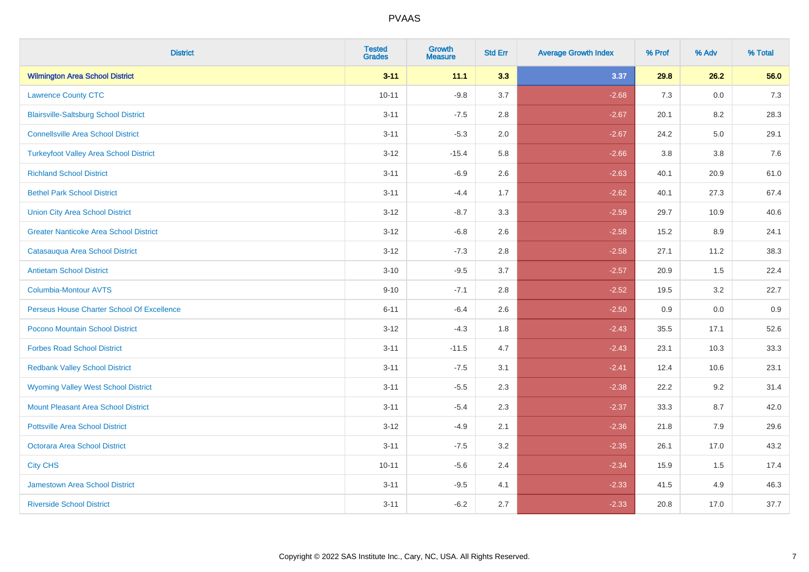| <b>District</b>                               | <b>Tested</b><br><b>Grades</b> | <b>Growth</b><br><b>Measure</b> | <b>Std Err</b> | <b>Average Growth Index</b> | % Prof | % Adv | % Total |
|-----------------------------------------------|--------------------------------|---------------------------------|----------------|-----------------------------|--------|-------|---------|
| <b>Wilmington Area School District</b>        | $3 - 11$                       | 11.1                            | 3.3            | 3.37                        | 29.8   | 26.2  | 56.0    |
| <b>Lawrence County CTC</b>                    | $10 - 11$                      | $-9.8$                          | 3.7            | $-2.68$                     | 7.3    | 0.0   | $7.3$   |
| <b>Blairsville-Saltsburg School District</b>  | $3 - 11$                       | $-7.5$                          | 2.8            | $-2.67$                     | 20.1   | 8.2   | 28.3    |
| <b>Connellsville Area School District</b>     | $3 - 11$                       | $-5.3$                          | 2.0            | $-2.67$                     | 24.2   | 5.0   | 29.1    |
| <b>Turkeyfoot Valley Area School District</b> | $3 - 12$                       | $-15.4$                         | 5.8            | $-2.66$                     | 3.8    | 3.8   | 7.6     |
| <b>Richland School District</b>               | $3 - 11$                       | $-6.9$                          | 2.6            | $-2.63$                     | 40.1   | 20.9  | 61.0    |
| <b>Bethel Park School District</b>            | $3 - 11$                       | $-4.4$                          | 1.7            | $-2.62$                     | 40.1   | 27.3  | 67.4    |
| <b>Union City Area School District</b>        | $3 - 12$                       | $-8.7$                          | 3.3            | $-2.59$                     | 29.7   | 10.9  | 40.6    |
| <b>Greater Nanticoke Area School District</b> | $3 - 12$                       | $-6.8$                          | 2.6            | $-2.58$                     | 15.2   | 8.9   | 24.1    |
| Catasauqua Area School District               | $3 - 12$                       | $-7.3$                          | 2.8            | $-2.58$                     | 27.1   | 11.2  | 38.3    |
| <b>Antietam School District</b>               | $3 - 10$                       | $-9.5$                          | 3.7            | $-2.57$                     | 20.9   | 1.5   | 22.4    |
| Columbia-Montour AVTS                         | $9 - 10$                       | $-7.1$                          | 2.8            | $-2.52$                     | 19.5   | 3.2   | 22.7    |
| Perseus House Charter School Of Excellence    | $6 - 11$                       | $-6.4$                          | 2.6            | $-2.50$                     | 0.9    | 0.0   | 0.9     |
| Pocono Mountain School District               | $3 - 12$                       | $-4.3$                          | 1.8            | $-2.43$                     | 35.5   | 17.1  | 52.6    |
| <b>Forbes Road School District</b>            | $3 - 11$                       | $-11.5$                         | 4.7            | $-2.43$                     | 23.1   | 10.3  | 33.3    |
| <b>Redbank Valley School District</b>         | $3 - 11$                       | $-7.5$                          | 3.1            | $-2.41$                     | 12.4   | 10.6  | 23.1    |
| <b>Wyoming Valley West School District</b>    | $3 - 11$                       | $-5.5$                          | 2.3            | $-2.38$                     | 22.2   | 9.2   | 31.4    |
| Mount Pleasant Area School District           | $3 - 11$                       | $-5.4$                          | 2.3            | $-2.37$                     | 33.3   | 8.7   | 42.0    |
| <b>Pottsville Area School District</b>        | $3 - 12$                       | $-4.9$                          | 2.1            | $-2.36$                     | 21.8   | 7.9   | 29.6    |
| <b>Octorara Area School District</b>          | $3 - 11$                       | $-7.5$                          | 3.2            | $-2.35$                     | 26.1   | 17.0  | 43.2    |
| <b>City CHS</b>                               | $10 - 11$                      | $-5.6$                          | 2.4            | $-2.34$                     | 15.9   | 1.5   | 17.4    |
| <b>Jamestown Area School District</b>         | $3 - 11$                       | $-9.5$                          | 4.1            | $-2.33$                     | 41.5   | 4.9   | 46.3    |
| <b>Riverside School District</b>              | $3 - 11$                       | $-6.2$                          | 2.7            | $-2.33$                     | 20.8   | 17.0  | 37.7    |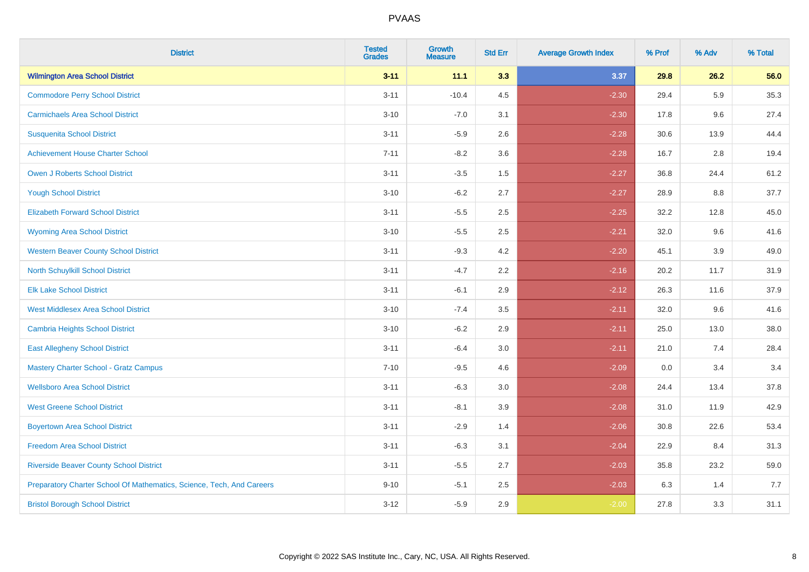| <b>District</b>                                                       | <b>Tested</b><br><b>Grades</b> | <b>Growth</b><br><b>Measure</b> | <b>Std Err</b> | <b>Average Growth Index</b> | % Prof | % Adv   | % Total |
|-----------------------------------------------------------------------|--------------------------------|---------------------------------|----------------|-----------------------------|--------|---------|---------|
| <b>Wilmington Area School District</b>                                | $3 - 11$                       | 11.1                            | 3.3            | 3.37                        | 29.8   | 26.2    | 56.0    |
| <b>Commodore Perry School District</b>                                | $3 - 11$                       | $-10.4$                         | 4.5            | $-2.30$                     | 29.4   | 5.9     | 35.3    |
| <b>Carmichaels Area School District</b>                               | $3 - 10$                       | $-7.0$                          | 3.1            | $-2.30$                     | 17.8   | 9.6     | 27.4    |
| <b>Susquenita School District</b>                                     | $3 - 11$                       | $-5.9$                          | 2.6            | $-2.28$                     | 30.6   | 13.9    | 44.4    |
| <b>Achievement House Charter School</b>                               | $7 - 11$                       | $-8.2$                          | 3.6            | $-2.28$                     | 16.7   | 2.8     | 19.4    |
| <b>Owen J Roberts School District</b>                                 | $3 - 11$                       | $-3.5$                          | 1.5            | $-2.27$                     | 36.8   | 24.4    | 61.2    |
| <b>Yough School District</b>                                          | $3 - 10$                       | $-6.2$                          | 2.7            | $-2.27$                     | 28.9   | $8.8\,$ | 37.7    |
| <b>Elizabeth Forward School District</b>                              | $3 - 11$                       | $-5.5$                          | 2.5            | $-2.25$                     | 32.2   | 12.8    | 45.0    |
| <b>Wyoming Area School District</b>                                   | $3 - 10$                       | $-5.5$                          | 2.5            | $-2.21$                     | 32.0   | 9.6     | 41.6    |
| <b>Western Beaver County School District</b>                          | $3 - 11$                       | $-9.3$                          | 4.2            | $-2.20$                     | 45.1   | 3.9     | 49.0    |
| North Schuylkill School District                                      | $3 - 11$                       | $-4.7$                          | 2.2            | $-2.16$                     | 20.2   | 11.7    | 31.9    |
| <b>Elk Lake School District</b>                                       | $3 - 11$                       | $-6.1$                          | 2.9            | $-2.12$                     | 26.3   | 11.6    | 37.9    |
| <b>West Middlesex Area School District</b>                            | $3 - 10$                       | $-7.4$                          | $3.5\,$        | $-2.11$                     | 32.0   | 9.6     | 41.6    |
| <b>Cambria Heights School District</b>                                | $3 - 10$                       | $-6.2$                          | 2.9            | $-2.11$                     | 25.0   | 13.0    | 38.0    |
| <b>East Allegheny School District</b>                                 | $3 - 11$                       | $-6.4$                          | 3.0            | $-2.11$                     | 21.0   | 7.4     | 28.4    |
| <b>Mastery Charter School - Gratz Campus</b>                          | $7 - 10$                       | $-9.5$                          | 4.6            | $-2.09$                     | 0.0    | 3.4     | 3.4     |
| <b>Wellsboro Area School District</b>                                 | $3 - 11$                       | $-6.3$                          | 3.0            | $-2.08$                     | 24.4   | 13.4    | 37.8    |
| <b>West Greene School District</b>                                    | $3 - 11$                       | $-8.1$                          | 3.9            | $-2.08$                     | 31.0   | 11.9    | 42.9    |
| <b>Boyertown Area School District</b>                                 | $3 - 11$                       | $-2.9$                          | 1.4            | $-2.06$                     | 30.8   | 22.6    | 53.4    |
| <b>Freedom Area School District</b>                                   | $3 - 11$                       | $-6.3$                          | 3.1            | $-2.04$                     | 22.9   | 8.4     | 31.3    |
| <b>Riverside Beaver County School District</b>                        | $3 - 11$                       | $-5.5$                          | 2.7            | $-2.03$                     | 35.8   | 23.2    | 59.0    |
| Preparatory Charter School Of Mathematics, Science, Tech, And Careers | $9 - 10$                       | $-5.1$                          | 2.5            | $-2.03$                     | 6.3    | 1.4     | 7.7     |
| <b>Bristol Borough School District</b>                                | $3 - 12$                       | $-5.9$                          | 2.9            | $-2.00$                     | 27.8   | 3.3     | 31.1    |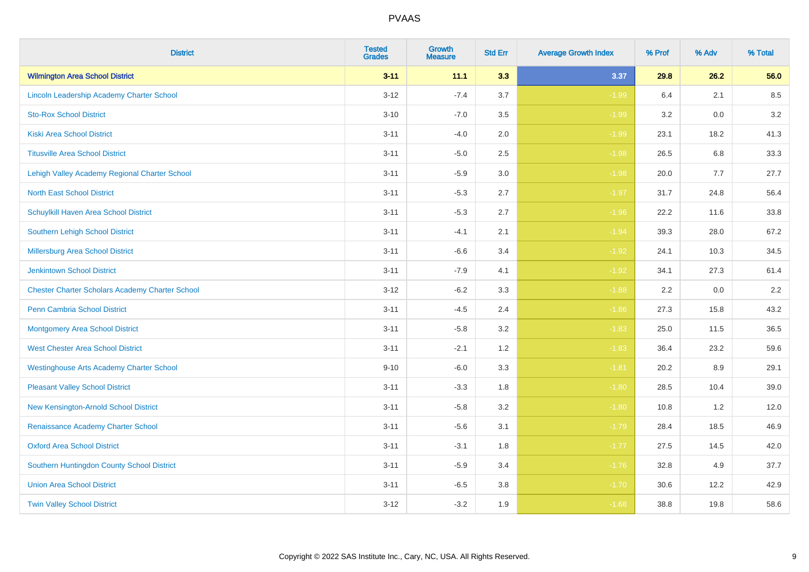| <b>District</b>                                        | <b>Tested</b><br><b>Grades</b> | <b>Growth</b><br><b>Measure</b> | <b>Std Err</b> | <b>Average Growth Index</b> | % Prof | % Adv | % Total |
|--------------------------------------------------------|--------------------------------|---------------------------------|----------------|-----------------------------|--------|-------|---------|
| <b>Wilmington Area School District</b>                 | $3 - 11$                       | 11.1                            | 3.3            | 3.37                        | 29.8   | 26.2  | 56.0    |
| Lincoln Leadership Academy Charter School              | $3 - 12$                       | $-7.4$                          | 3.7            | $-1.99$                     | 6.4    | 2.1   | 8.5     |
| <b>Sto-Rox School District</b>                         | $3 - 10$                       | $-7.0$                          | 3.5            | $-1.99$                     | 3.2    | 0.0   | 3.2     |
| <b>Kiski Area School District</b>                      | $3 - 11$                       | $-4.0$                          | 2.0            | $-1.99$                     | 23.1   | 18.2  | 41.3    |
| <b>Titusville Area School District</b>                 | $3 - 11$                       | $-5.0$                          | 2.5            | $-1.98$                     | 26.5   | 6.8   | 33.3    |
| Lehigh Valley Academy Regional Charter School          | $3 - 11$                       | $-5.9$                          | 3.0            | $-1.98$                     | 20.0   | 7.7   | 27.7    |
| <b>North East School District</b>                      | $3 - 11$                       | $-5.3$                          | 2.7            | $-1.97$                     | 31.7   | 24.8  | 56.4    |
| Schuylkill Haven Area School District                  | $3 - 11$                       | $-5.3$                          | 2.7            | $-1.96$                     | 22.2   | 11.6  | 33.8    |
| <b>Southern Lehigh School District</b>                 | $3 - 11$                       | $-4.1$                          | 2.1            | $-1.94$                     | 39.3   | 28.0  | 67.2    |
| Millersburg Area School District                       | $3 - 11$                       | $-6.6$                          | 3.4            | $-1.92$                     | 24.1   | 10.3  | 34.5    |
| <b>Jenkintown School District</b>                      | $3 - 11$                       | $-7.9$                          | 4.1            | $-1.92$                     | 34.1   | 27.3  | 61.4    |
| <b>Chester Charter Scholars Academy Charter School</b> | $3 - 12$                       | $-6.2$                          | 3.3            | $-1.88$                     | 2.2    | 0.0   | 2.2     |
| Penn Cambria School District                           | $3 - 11$                       | $-4.5$                          | 2.4            | $-1.86$                     | 27.3   | 15.8  | 43.2    |
| <b>Montgomery Area School District</b>                 | $3 - 11$                       | $-5.8$                          | 3.2            | $-1.83$                     | 25.0   | 11.5  | 36.5    |
| <b>West Chester Area School District</b>               | $3 - 11$                       | $-2.1$                          | 1.2            | $-1.83$                     | 36.4   | 23.2  | 59.6    |
| <b>Westinghouse Arts Academy Charter School</b>        | $9 - 10$                       | $-6.0$                          | 3.3            | $-1.81$                     | 20.2   | 8.9   | 29.1    |
| <b>Pleasant Valley School District</b>                 | $3 - 11$                       | $-3.3$                          | 1.8            | $-1.80$                     | 28.5   | 10.4  | 39.0    |
| New Kensington-Arnold School District                  | $3 - 11$                       | $-5.8$                          | 3.2            | $-1.80$                     | 10.8   | 1.2   | 12.0    |
| Renaissance Academy Charter School                     | $3 - 11$                       | $-5.6$                          | 3.1            | $-1.79$                     | 28.4   | 18.5  | 46.9    |
| <b>Oxford Area School District</b>                     | $3 - 11$                       | $-3.1$                          | 1.8            | $-1.77$                     | 27.5   | 14.5  | 42.0    |
| Southern Huntingdon County School District             | $3 - 11$                       | $-5.9$                          | 3.4            | $-1.76$                     | 32.8   | 4.9   | 37.7    |
| <b>Union Area School District</b>                      | $3 - 11$                       | $-6.5$                          | 3.8            | $-1.70$                     | 30.6   | 12.2  | 42.9    |
| <b>Twin Valley School District</b>                     | $3 - 12$                       | $-3.2$                          | 1.9            | $-1.68$                     | 38.8   | 19.8  | 58.6    |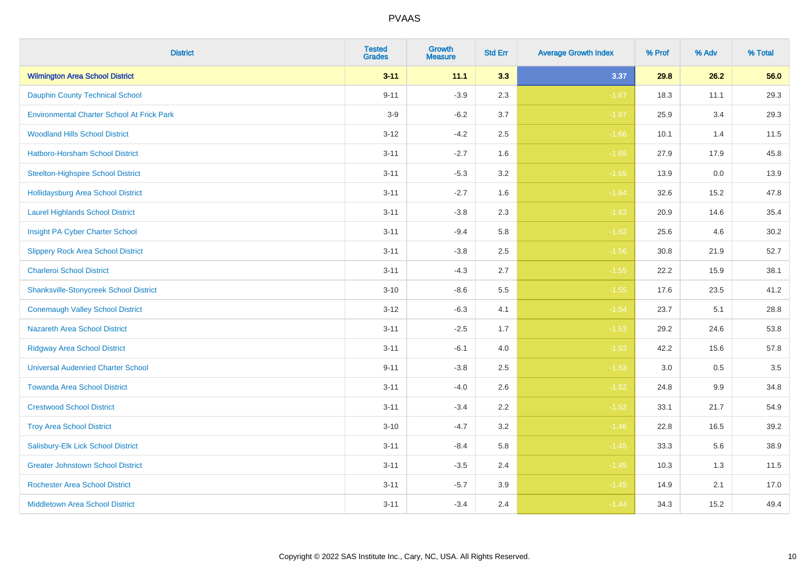| <b>District</b>                                   | <b>Tested</b><br><b>Grades</b> | <b>Growth</b><br><b>Measure</b> | <b>Std Err</b> | <b>Average Growth Index</b> | % Prof | % Adv | % Total |
|---------------------------------------------------|--------------------------------|---------------------------------|----------------|-----------------------------|--------|-------|---------|
| <b>Wilmington Area School District</b>            | $3 - 11$                       | 11.1                            | 3.3            | 3.37                        | 29.8   | 26.2  | 56.0    |
| <b>Dauphin County Technical School</b>            | $9 - 11$                       | $-3.9$                          | 2.3            | $-1.67$                     | 18.3   | 11.1  | 29.3    |
| <b>Environmental Charter School At Frick Park</b> | $3-9$                          | $-6.2$                          | 3.7            | $-1.67$                     | 25.9   | 3.4   | 29.3    |
| <b>Woodland Hills School District</b>             | $3 - 12$                       | $-4.2$                          | 2.5            | $-1.66$                     | 10.1   | 1.4   | 11.5    |
| Hatboro-Horsham School District                   | $3 - 11$                       | $-2.7$                          | 1.6            | $-1.65$                     | 27.9   | 17.9  | 45.8    |
| <b>Steelton-Highspire School District</b>         | $3 - 11$                       | $-5.3$                          | 3.2            | $-1.65$                     | 13.9   | 0.0   | 13.9    |
| <b>Hollidaysburg Area School District</b>         | $3 - 11$                       | $-2.7$                          | 1.6            | $-1.64$                     | 32.6   | 15.2  | 47.8    |
| <b>Laurel Highlands School District</b>           | $3 - 11$                       | $-3.8$                          | 2.3            | $-1.63$                     | 20.9   | 14.6  | 35.4    |
| Insight PA Cyber Charter School                   | $3 - 11$                       | $-9.4$                          | 5.8            | $-1.62$                     | 25.6   | 4.6   | 30.2    |
| <b>Slippery Rock Area School District</b>         | $3 - 11$                       | $-3.8$                          | 2.5            | $-1.56$                     | 30.8   | 21.9  | 52.7    |
| <b>Charleroi School District</b>                  | $3 - 11$                       | $-4.3$                          | 2.7            | $-1.55$                     | 22.2   | 15.9  | 38.1    |
| <b>Shanksville-Stonycreek School District</b>     | $3 - 10$                       | $-8.6$                          | 5.5            | $-1.55$                     | 17.6   | 23.5  | 41.2    |
| <b>Conemaugh Valley School District</b>           | $3 - 12$                       | $-6.3$                          | 4.1            | $-1.54$                     | 23.7   | 5.1   | 28.8    |
| <b>Nazareth Area School District</b>              | $3 - 11$                       | $-2.5$                          | 1.7            | $-1.53$                     | 29.2   | 24.6  | 53.8    |
| <b>Ridgway Area School District</b>               | $3 - 11$                       | $-6.1$                          | 4.0            | $-1.53$                     | 42.2   | 15.6  | 57.8    |
| <b>Universal Audenried Charter School</b>         | $9 - 11$                       | $-3.8$                          | 2.5            | $-1.53$                     | 3.0    | 0.5   | 3.5     |
| <b>Towanda Area School District</b>               | $3 - 11$                       | $-4.0$                          | 2.6            | $-1.52$                     | 24.8   | 9.9   | 34.8    |
| <b>Crestwood School District</b>                  | $3 - 11$                       | $-3.4$                          | 2.2            | $-1.52$                     | 33.1   | 21.7  | 54.9    |
| <b>Troy Area School District</b>                  | $3 - 10$                       | $-4.7$                          | 3.2            | $-1.46$                     | 22.8   | 16.5  | 39.2    |
| Salisbury-Elk Lick School District                | $3 - 11$                       | $-8.4$                          | 5.8            | $-1.45$                     | 33.3   | 5.6   | 38.9    |
| <b>Greater Johnstown School District</b>          | $3 - 11$                       | $-3.5$                          | 2.4            | $-1.45$                     | 10.3   | 1.3   | 11.5    |
| <b>Rochester Area School District</b>             | $3 - 11$                       | $-5.7$                          | 3.9            | $-1.45$                     | 14.9   | 2.1   | 17.0    |
| <b>Middletown Area School District</b>            | $3 - 11$                       | $-3.4$                          | 2.4            | $-1.44$                     | 34.3   | 15.2  | 49.4    |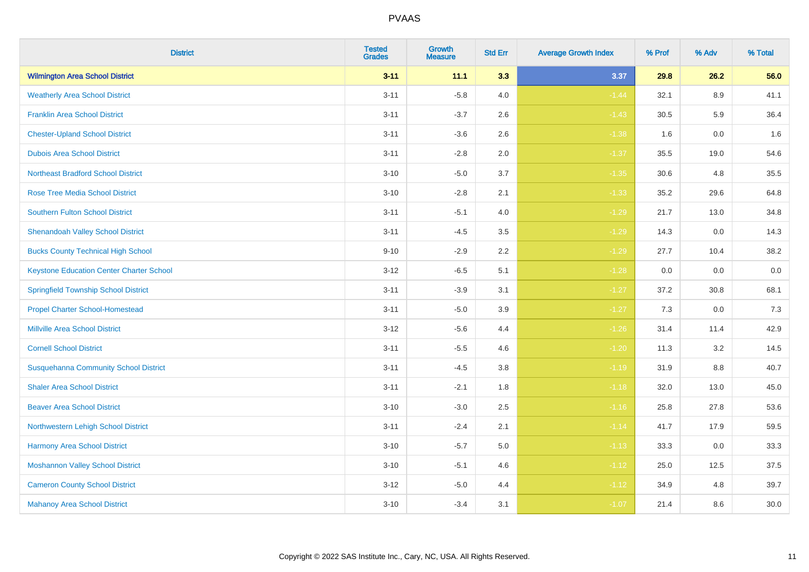| <b>District</b>                                 | <b>Tested</b><br><b>Grades</b> | <b>Growth</b><br><b>Measure</b> | <b>Std Err</b> | <b>Average Growth Index</b> | % Prof | % Adv   | % Total |
|-------------------------------------------------|--------------------------------|---------------------------------|----------------|-----------------------------|--------|---------|---------|
| <b>Wilmington Area School District</b>          | $3 - 11$                       | 11.1                            | 3.3            | 3.37                        | 29.8   | 26.2    | 56.0    |
| <b>Weatherly Area School District</b>           | $3 - 11$                       | $-5.8$                          | 4.0            | $-1.44$                     | 32.1   | $8.9\,$ | 41.1    |
| <b>Franklin Area School District</b>            | $3 - 11$                       | $-3.7$                          | 2.6            | $-1.43$                     | 30.5   | 5.9     | 36.4    |
| <b>Chester-Upland School District</b>           | $3 - 11$                       | $-3.6$                          | 2.6            | $-1.38$                     | 1.6    | $0.0\,$ | 1.6     |
| <b>Dubois Area School District</b>              | $3 - 11$                       | $-2.8$                          | 2.0            | $-1.37$                     | 35.5   | 19.0    | 54.6    |
| <b>Northeast Bradford School District</b>       | $3 - 10$                       | $-5.0$                          | 3.7            | $-1.35$                     | 30.6   | 4.8     | 35.5    |
| <b>Rose Tree Media School District</b>          | $3 - 10$                       | $-2.8$                          | 2.1            | $-1.33$                     | 35.2   | 29.6    | 64.8    |
| <b>Southern Fulton School District</b>          | $3 - 11$                       | $-5.1$                          | 4.0            | $-1.29$                     | 21.7   | 13.0    | 34.8    |
| <b>Shenandoah Valley School District</b>        | $3 - 11$                       | $-4.5$                          | 3.5            | $-1.29$                     | 14.3   | 0.0     | 14.3    |
| <b>Bucks County Technical High School</b>       | $9 - 10$                       | $-2.9$                          | 2.2            | $-1.29$                     | 27.7   | 10.4    | 38.2    |
| <b>Keystone Education Center Charter School</b> | $3 - 12$                       | $-6.5$                          | 5.1            | $-1.28$                     | 0.0    | 0.0     | $0.0\,$ |
| <b>Springfield Township School District</b>     | $3 - 11$                       | $-3.9$                          | 3.1            | $-1.27$                     | 37.2   | 30.8    | 68.1    |
| <b>Propel Charter School-Homestead</b>          | $3 - 11$                       | $-5.0$                          | 3.9            | $-1.27$                     | 7.3    | 0.0     | $7.3$   |
| <b>Millville Area School District</b>           | $3 - 12$                       | $-5.6$                          | 4.4            | $-1.26$                     | 31.4   | 11.4    | 42.9    |
| <b>Cornell School District</b>                  | $3 - 11$                       | $-5.5$                          | 4.6            | $-1.20$                     | 11.3   | 3.2     | 14.5    |
| <b>Susquehanna Community School District</b>    | $3 - 11$                       | $-4.5$                          | $3.8\,$        | $-1.19$                     | 31.9   | $8.8\,$ | 40.7    |
| <b>Shaler Area School District</b>              | $3 - 11$                       | $-2.1$                          | 1.8            | $-1.18$                     | 32.0   | 13.0    | 45.0    |
| <b>Beaver Area School District</b>              | $3 - 10$                       | $-3.0$                          | 2.5            | $-1.16$                     | 25.8   | 27.8    | 53.6    |
| Northwestern Lehigh School District             | $3 - 11$                       | $-2.4$                          | 2.1            | $-1.14$                     | 41.7   | 17.9    | 59.5    |
| Harmony Area School District                    | $3 - 10$                       | $-5.7$                          | 5.0            | $-1.13$                     | 33.3   | 0.0     | 33.3    |
| <b>Moshannon Valley School District</b>         | $3 - 10$                       | $-5.1$                          | 4.6            | $-1.12$                     | 25.0   | 12.5    | 37.5    |
| <b>Cameron County School District</b>           | $3 - 12$                       | $-5.0$                          | 4.4            | $-1.12$                     | 34.9   | 4.8     | 39.7    |
| <b>Mahanoy Area School District</b>             | $3 - 10$                       | $-3.4$                          | 3.1            | $-1.07$                     | 21.4   | 8.6     | 30.0    |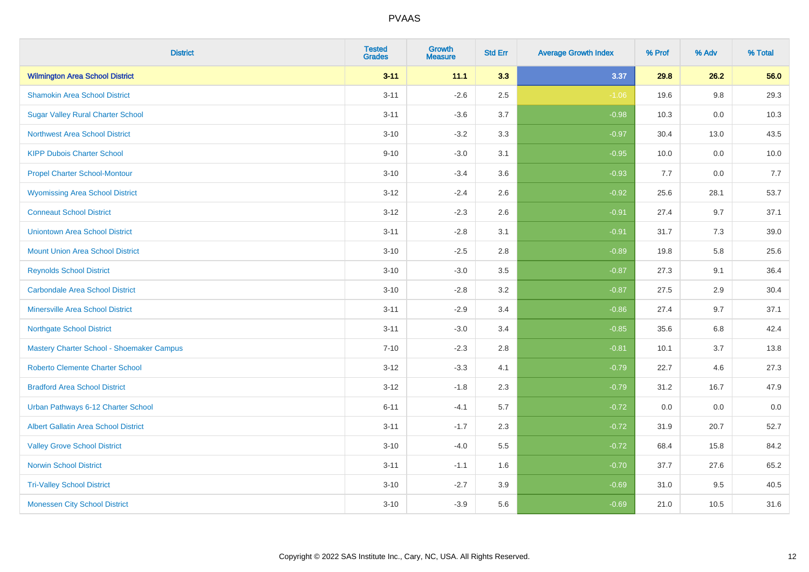| <b>District</b>                             | <b>Tested</b><br><b>Grades</b> | <b>Growth</b><br><b>Measure</b> | <b>Std Err</b> | <b>Average Growth Index</b> | % Prof | % Adv   | % Total |
|---------------------------------------------|--------------------------------|---------------------------------|----------------|-----------------------------|--------|---------|---------|
| <b>Wilmington Area School District</b>      | $3 - 11$                       | 11.1                            | 3.3            | 3.37                        | 29.8   | 26.2    | 56.0    |
| <b>Shamokin Area School District</b>        | $3 - 11$                       | $-2.6$                          | 2.5            | $-1.06$                     | 19.6   | $9.8\,$ | 29.3    |
| <b>Sugar Valley Rural Charter School</b>    | $3 - 11$                       | $-3.6$                          | 3.7            | $-0.98$                     | 10.3   | 0.0     | 10.3    |
| <b>Northwest Area School District</b>       | $3 - 10$                       | $-3.2$                          | 3.3            | $-0.97$                     | 30.4   | 13.0    | 43.5    |
| <b>KIPP Dubois Charter School</b>           | $9 - 10$                       | $-3.0$                          | 3.1            | $-0.95$                     | 10.0   | 0.0     | 10.0    |
| <b>Propel Charter School-Montour</b>        | $3 - 10$                       | $-3.4$                          | 3.6            | $-0.93$                     | 7.7    | 0.0     | 7.7     |
| <b>Wyomissing Area School District</b>      | $3 - 12$                       | $-2.4$                          | 2.6            | $-0.92$                     | 25.6   | 28.1    | 53.7    |
| <b>Conneaut School District</b>             | $3 - 12$                       | $-2.3$                          | 2.6            | $-0.91$                     | 27.4   | 9.7     | 37.1    |
| <b>Uniontown Area School District</b>       | $3 - 11$                       | $-2.8$                          | 3.1            | $-0.91$                     | 31.7   | 7.3     | 39.0    |
| <b>Mount Union Area School District</b>     | $3 - 10$                       | $-2.5$                          | 2.8            | $-0.89$                     | 19.8   | 5.8     | 25.6    |
| <b>Reynolds School District</b>             | $3 - 10$                       | $-3.0$                          | 3.5            | $-0.87$                     | 27.3   | 9.1     | 36.4    |
| <b>Carbondale Area School District</b>      | $3 - 10$                       | $-2.8$                          | 3.2            | $-0.87$                     | 27.5   | 2.9     | 30.4    |
| Minersville Area School District            | $3 - 11$                       | $-2.9$                          | 3.4            | $-0.86$                     | 27.4   | 9.7     | 37.1    |
| <b>Northgate School District</b>            | $3 - 11$                       | $-3.0$                          | 3.4            | $-0.85$                     | 35.6   | 6.8     | 42.4    |
| Mastery Charter School - Shoemaker Campus   | $7 - 10$                       | $-2.3$                          | 2.8            | $-0.81$                     | 10.1   | 3.7     | 13.8    |
| <b>Roberto Clemente Charter School</b>      | $3 - 12$                       | $-3.3$                          | 4.1            | $-0.79$                     | 22.7   | 4.6     | 27.3    |
| <b>Bradford Area School District</b>        | $3 - 12$                       | $-1.8$                          | 2.3            | $-0.79$                     | 31.2   | 16.7    | 47.9    |
| Urban Pathways 6-12 Charter School          | $6 - 11$                       | $-4.1$                          | 5.7            | $-0.72$                     | 0.0    | 0.0     | 0.0     |
| <b>Albert Gallatin Area School District</b> | $3 - 11$                       | $-1.7$                          | 2.3            | $-0.72$                     | 31.9   | 20.7    | 52.7    |
| <b>Valley Grove School District</b>         | $3 - 10$                       | $-4.0$                          | 5.5            | $-0.72$                     | 68.4   | 15.8    | 84.2    |
| <b>Norwin School District</b>               | $3 - 11$                       | $-1.1$                          | 1.6            | $-0.70$                     | 37.7   | 27.6    | 65.2    |
| <b>Tri-Valley School District</b>           | $3 - 10$                       | $-2.7$                          | 3.9            | $-0.69$                     | 31.0   | 9.5     | 40.5    |
| <b>Monessen City School District</b>        | $3 - 10$                       | $-3.9$                          | 5.6            | $-0.69$                     | 21.0   | 10.5    | 31.6    |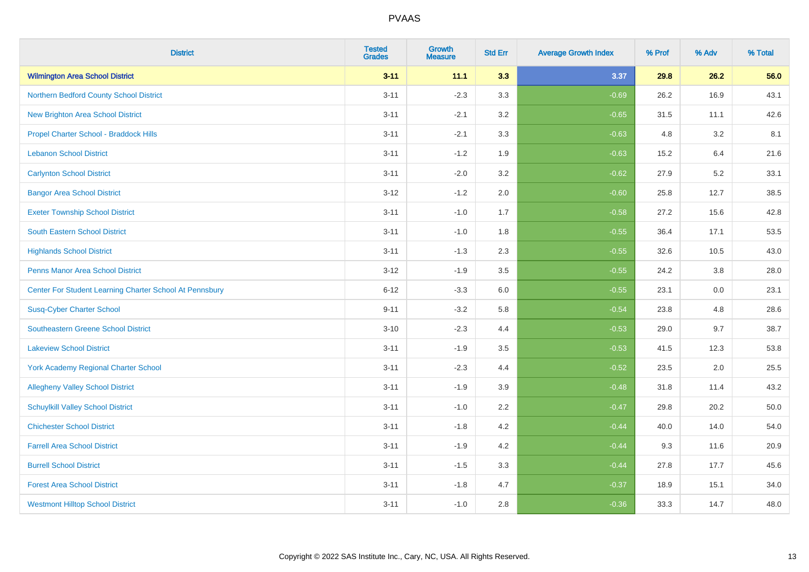| <b>District</b>                                         | <b>Tested</b><br><b>Grades</b> | <b>Growth</b><br><b>Measure</b> | <b>Std Err</b> | <b>Average Growth Index</b> | % Prof | % Adv | % Total |
|---------------------------------------------------------|--------------------------------|---------------------------------|----------------|-----------------------------|--------|-------|---------|
| <b>Wilmington Area School District</b>                  | $3 - 11$                       | 11.1                            | 3.3            | 3.37                        | 29.8   | 26.2  | 56.0    |
| Northern Bedford County School District                 | $3 - 11$                       | $-2.3$                          | 3.3            | $-0.69$                     | 26.2   | 16.9  | 43.1    |
| <b>New Brighton Area School District</b>                | $3 - 11$                       | $-2.1$                          | 3.2            | $-0.65$                     | 31.5   | 11.1  | 42.6    |
| Propel Charter School - Braddock Hills                  | $3 - 11$                       | $-2.1$                          | 3.3            | $-0.63$                     | 4.8    | 3.2   | 8.1     |
| <b>Lebanon School District</b>                          | $3 - 11$                       | $-1.2$                          | 1.9            | $-0.63$                     | 15.2   | 6.4   | 21.6    |
| <b>Carlynton School District</b>                        | $3 - 11$                       | $-2.0$                          | 3.2            | $-0.62$                     | 27.9   | 5.2   | 33.1    |
| <b>Bangor Area School District</b>                      | $3 - 12$                       | $-1.2$                          | 2.0            | $-0.60$                     | 25.8   | 12.7  | 38.5    |
| <b>Exeter Township School District</b>                  | $3 - 11$                       | $-1.0$                          | 1.7            | $-0.58$                     | 27.2   | 15.6  | 42.8    |
| <b>South Eastern School District</b>                    | $3 - 11$                       | $-1.0$                          | 1.8            | $-0.55$                     | 36.4   | 17.1  | 53.5    |
| <b>Highlands School District</b>                        | $3 - 11$                       | $-1.3$                          | 2.3            | $-0.55$                     | 32.6   | 10.5  | 43.0    |
| <b>Penns Manor Area School District</b>                 | $3 - 12$                       | $-1.9$                          | 3.5            | $-0.55$                     | 24.2   | 3.8   | 28.0    |
| Center For Student Learning Charter School At Pennsbury | $6 - 12$                       | $-3.3$                          | 6.0            | $-0.55$                     | 23.1   | 0.0   | 23.1    |
| <b>Susq-Cyber Charter School</b>                        | $9 - 11$                       | $-3.2$                          | 5.8            | $-0.54$                     | 23.8   | 4.8   | 28.6    |
| Southeastern Greene School District                     | $3 - 10$                       | $-2.3$                          | 4.4            | $-0.53$                     | 29.0   | 9.7   | 38.7    |
| <b>Lakeview School District</b>                         | $3 - 11$                       | $-1.9$                          | 3.5            | $-0.53$                     | 41.5   | 12.3  | 53.8    |
| <b>York Academy Regional Charter School</b>             | $3 - 11$                       | $-2.3$                          | 4.4            | $-0.52$                     | 23.5   | 2.0   | 25.5    |
| <b>Allegheny Valley School District</b>                 | $3 - 11$                       | $-1.9$                          | 3.9            | $-0.48$                     | 31.8   | 11.4  | 43.2    |
| <b>Schuylkill Valley School District</b>                | $3 - 11$                       | $-1.0$                          | 2.2            | $-0.47$                     | 29.8   | 20.2  | 50.0    |
| <b>Chichester School District</b>                       | $3 - 11$                       | $-1.8$                          | 4.2            | $-0.44$                     | 40.0   | 14.0  | 54.0    |
| <b>Farrell Area School District</b>                     | $3 - 11$                       | $-1.9$                          | 4.2            | $-0.44$                     | 9.3    | 11.6  | 20.9    |
| <b>Burrell School District</b>                          | $3 - 11$                       | $-1.5$                          | 3.3            | $-0.44$                     | 27.8   | 17.7  | 45.6    |
| <b>Forest Area School District</b>                      | $3 - 11$                       | $-1.8$                          | 4.7            | $-0.37$                     | 18.9   | 15.1  | 34.0    |
| <b>Westmont Hilltop School District</b>                 | $3 - 11$                       | $-1.0$                          | 2.8            | $-0.36$                     | 33.3   | 14.7  | 48.0    |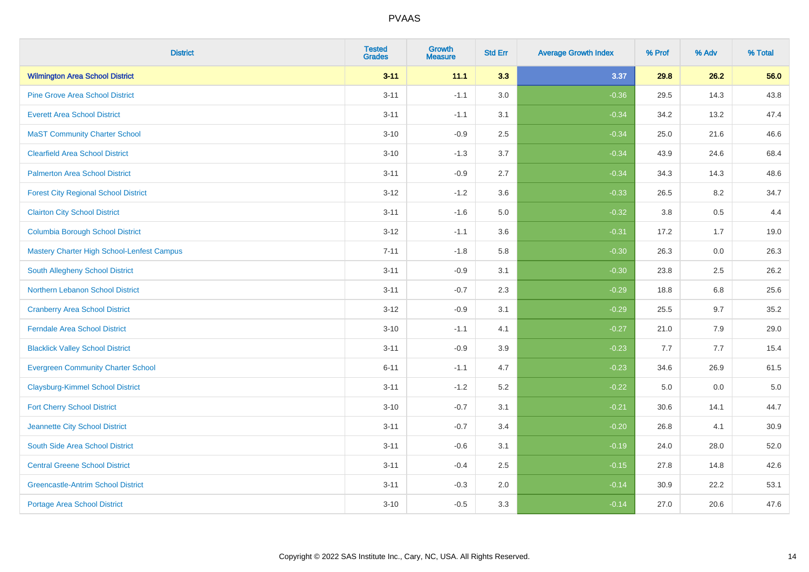| <b>District</b>                             | <b>Tested</b><br><b>Grades</b> | <b>Growth</b><br><b>Measure</b> | <b>Std Err</b> | <b>Average Growth Index</b> | % Prof | % Adv   | % Total |
|---------------------------------------------|--------------------------------|---------------------------------|----------------|-----------------------------|--------|---------|---------|
| <b>Wilmington Area School District</b>      | $3 - 11$                       | 11.1                            | 3.3            | 3.37                        | 29.8   | 26.2    | 56.0    |
| <b>Pine Grove Area School District</b>      | $3 - 11$                       | $-1.1$                          | 3.0            | $-0.36$                     | 29.5   | 14.3    | 43.8    |
| <b>Everett Area School District</b>         | $3 - 11$                       | $-1.1$                          | 3.1            | $-0.34$                     | 34.2   | 13.2    | 47.4    |
| <b>MaST Community Charter School</b>        | $3 - 10$                       | $-0.9$                          | 2.5            | $-0.34$                     | 25.0   | 21.6    | 46.6    |
| <b>Clearfield Area School District</b>      | $3 - 10$                       | $-1.3$                          | 3.7            | $-0.34$                     | 43.9   | 24.6    | 68.4    |
| <b>Palmerton Area School District</b>       | $3 - 11$                       | $-0.9$                          | 2.7            | $-0.34$                     | 34.3   | 14.3    | 48.6    |
| <b>Forest City Regional School District</b> | $3 - 12$                       | $-1.2$                          | 3.6            | $-0.33$                     | 26.5   | 8.2     | 34.7    |
| <b>Clairton City School District</b>        | $3 - 11$                       | $-1.6$                          | 5.0            | $-0.32$                     | 3.8    | 0.5     | 4.4     |
| <b>Columbia Borough School District</b>     | $3 - 12$                       | $-1.1$                          | 3.6            | $-0.31$                     | 17.2   | 1.7     | 19.0    |
| Mastery Charter High School-Lenfest Campus  | $7 - 11$                       | $-1.8$                          | 5.8            | $-0.30$                     | 26.3   | 0.0     | 26.3    |
| South Allegheny School District             | $3 - 11$                       | $-0.9$                          | 3.1            | $-0.30$                     | 23.8   | 2.5     | 26.2    |
| <b>Northern Lebanon School District</b>     | $3 - 11$                       | $-0.7$                          | 2.3            | $-0.29$                     | 18.8   | 6.8     | 25.6    |
| <b>Cranberry Area School District</b>       | $3 - 12$                       | $-0.9$                          | 3.1            | $-0.29$                     | 25.5   | 9.7     | 35.2    |
| <b>Ferndale Area School District</b>        | $3 - 10$                       | $-1.1$                          | 4.1            | $-0.27$                     | 21.0   | 7.9     | 29.0    |
| <b>Blacklick Valley School District</b>     | $3 - 11$                       | $-0.9$                          | 3.9            | $-0.23$                     | 7.7    | 7.7     | 15.4    |
| <b>Evergreen Community Charter School</b>   | $6 - 11$                       | $-1.1$                          | 4.7            | $-0.23$                     | 34.6   | 26.9    | 61.5    |
| <b>Claysburg-Kimmel School District</b>     | $3 - 11$                       | $-1.2$                          | 5.2            | $-0.22$                     | 5.0    | $0.0\,$ | $5.0$   |
| <b>Fort Cherry School District</b>          | $3 - 10$                       | $-0.7$                          | 3.1            | $-0.21$                     | 30.6   | 14.1    | 44.7    |
| Jeannette City School District              | $3 - 11$                       | $-0.7$                          | 3.4            | $-0.20$                     | 26.8   | 4.1     | 30.9    |
| South Side Area School District             | $3 - 11$                       | $-0.6$                          | 3.1            | $-0.19$                     | 24.0   | 28.0    | 52.0    |
| <b>Central Greene School District</b>       | $3 - 11$                       | $-0.4$                          | 2.5            | $-0.15$                     | 27.8   | 14.8    | 42.6    |
| <b>Greencastle-Antrim School District</b>   | $3 - 11$                       | $-0.3$                          | 2.0            | $-0.14$                     | 30.9   | 22.2    | 53.1    |
| <b>Portage Area School District</b>         | $3 - 10$                       | $-0.5$                          | 3.3            | $-0.14$                     | 27.0   | 20.6    | 47.6    |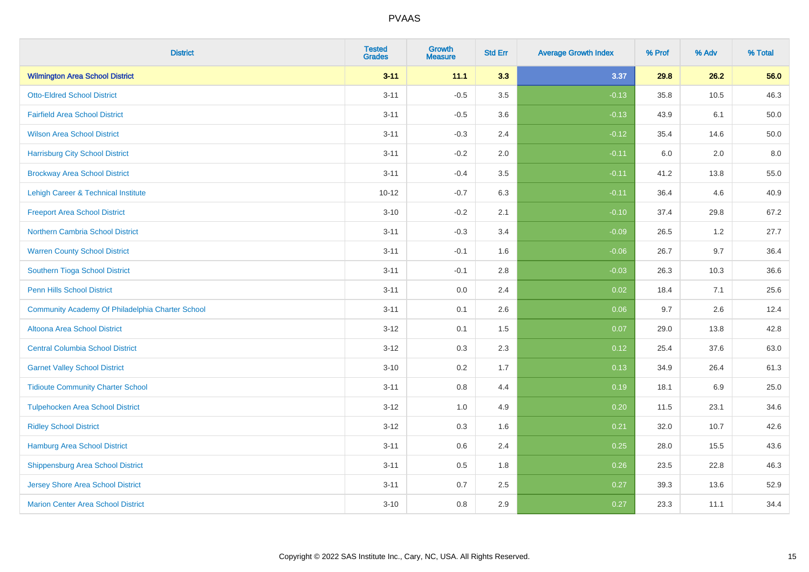| <b>District</b>                                  | <b>Tested</b><br><b>Grades</b> | <b>Growth</b><br><b>Measure</b> | <b>Std Err</b> | <b>Average Growth Index</b> | % Prof | % Adv   | % Total |
|--------------------------------------------------|--------------------------------|---------------------------------|----------------|-----------------------------|--------|---------|---------|
| <b>Wilmington Area School District</b>           | $3 - 11$                       | 11.1                            | 3.3            | 3.37                        | 29.8   | 26.2    | 56.0    |
| <b>Otto-Eldred School District</b>               | $3 - 11$                       | $-0.5$                          | $3.5\,$        | $-0.13$                     | 35.8   | 10.5    | 46.3    |
| <b>Fairfield Area School District</b>            | $3 - 11$                       | $-0.5$                          | 3.6            | $-0.13$                     | 43.9   | 6.1     | 50.0    |
| <b>Wilson Area School District</b>               | $3 - 11$                       | $-0.3$                          | 2.4            | $-0.12$                     | 35.4   | 14.6    | 50.0    |
| <b>Harrisburg City School District</b>           | $3 - 11$                       | $-0.2$                          | 2.0            | $-0.11$                     | 6.0    | 2.0     | 8.0     |
| <b>Brockway Area School District</b>             | $3 - 11$                       | $-0.4$                          | 3.5            | $-0.11$                     | 41.2   | 13.8    | 55.0    |
| Lehigh Career & Technical Institute              | $10 - 12$                      | $-0.7$                          | 6.3            | $-0.11$                     | 36.4   | 4.6     | 40.9    |
| <b>Freeport Area School District</b>             | $3 - 10$                       | $-0.2$                          | 2.1            | $-0.10$                     | 37.4   | 29.8    | 67.2    |
| Northern Cambria School District                 | $3 - 11$                       | $-0.3$                          | 3.4            | $-0.09$                     | 26.5   | $1.2$   | 27.7    |
| <b>Warren County School District</b>             | $3 - 11$                       | $-0.1$                          | 1.6            | $-0.06$                     | 26.7   | 9.7     | 36.4    |
| Southern Tioga School District                   | $3 - 11$                       | $-0.1$                          | 2.8            | $-0.03$                     | 26.3   | 10.3    | 36.6    |
| <b>Penn Hills School District</b>                | $3 - 11$                       | 0.0                             | 2.4            | 0.02                        | 18.4   | 7.1     | 25.6    |
| Community Academy Of Philadelphia Charter School | $3 - 11$                       | 0.1                             | 2.6            | 0.06                        | 9.7    | $2.6\,$ | 12.4    |
| Altoona Area School District                     | $3 - 12$                       | 0.1                             | 1.5            | 0.07                        | 29.0   | 13.8    | 42.8    |
| <b>Central Columbia School District</b>          | $3 - 12$                       | 0.3                             | 2.3            | 0.12                        | 25.4   | 37.6    | 63.0    |
| <b>Garnet Valley School District</b>             | $3 - 10$                       | 0.2                             | 1.7            | 0.13                        | 34.9   | 26.4    | 61.3    |
| <b>Tidioute Community Charter School</b>         | $3 - 11$                       | 0.8                             | 4.4            | 0.19                        | 18.1   | 6.9     | 25.0    |
| <b>Tulpehocken Area School District</b>          | $3 - 12$                       | 1.0                             | 4.9            | 0.20                        | 11.5   | 23.1    | 34.6    |
| <b>Ridley School District</b>                    | $3 - 12$                       | $0.3\,$                         | 1.6            | 0.21                        | 32.0   | 10.7    | 42.6    |
| Hamburg Area School District                     | $3 - 11$                       | 0.6                             | 2.4            | 0.25                        | 28.0   | 15.5    | 43.6    |
| <b>Shippensburg Area School District</b>         | $3 - 11$                       | 0.5                             | 1.8            | 0.26                        | 23.5   | 22.8    | 46.3    |
| <b>Jersey Shore Area School District</b>         | $3 - 11$                       | 0.7                             | 2.5            | 0.27                        | 39.3   | 13.6    | 52.9    |
| <b>Marion Center Area School District</b>        | $3 - 10$                       | 0.8                             | 2.9            | 0.27                        | 23.3   | 11.1    | 34.4    |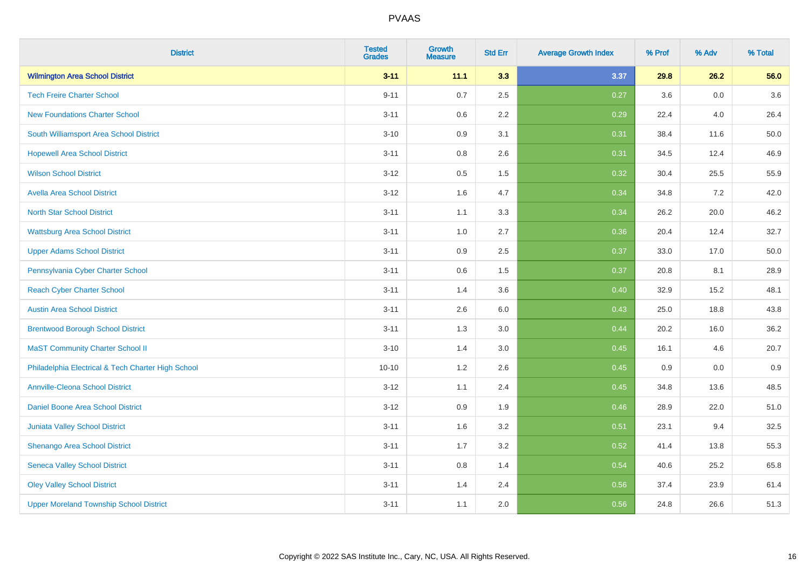| <b>District</b>                                    | <b>Tested</b><br><b>Grades</b> | <b>Growth</b><br><b>Measure</b> | <b>Std Err</b> | <b>Average Growth Index</b> | % Prof | % Adv   | % Total  |
|----------------------------------------------------|--------------------------------|---------------------------------|----------------|-----------------------------|--------|---------|----------|
| <b>Wilmington Area School District</b>             | $3 - 11$                       | 11.1                            | 3.3            | 3.37                        | 29.8   | 26.2    | 56.0     |
| <b>Tech Freire Charter School</b>                  | $9 - 11$                       | 0.7                             | 2.5            | 0.27                        | 3.6    | $0.0\,$ | 3.6      |
| <b>New Foundations Charter School</b>              | $3 - 11$                       | 0.6                             | 2.2            | 0.29                        | 22.4   | 4.0     | 26.4     |
| South Williamsport Area School District            | $3 - 10$                       | 0.9                             | 3.1            | 0.31                        | 38.4   | 11.6    | $50.0\,$ |
| <b>Hopewell Area School District</b>               | $3 - 11$                       | 0.8                             | 2.6            | 0.31                        | 34.5   | 12.4    | 46.9     |
| <b>Wilson School District</b>                      | $3 - 12$                       | $0.5\,$                         | 1.5            | 0.32                        | 30.4   | 25.5    | 55.9     |
| <b>Avella Area School District</b>                 | $3 - 12$                       | 1.6                             | 4.7            | 0.34                        | 34.8   | 7.2     | 42.0     |
| <b>North Star School District</b>                  | $3 - 11$                       | 1.1                             | 3.3            | 0.34                        | 26.2   | 20.0    | 46.2     |
| <b>Wattsburg Area School District</b>              | $3 - 11$                       | 1.0                             | 2.7            | 0.36                        | 20.4   | 12.4    | 32.7     |
| <b>Upper Adams School District</b>                 | $3 - 11$                       | 0.9                             | $2.5\,$        | 0.37                        | 33.0   | 17.0    | $50.0\,$ |
| Pennsylvania Cyber Charter School                  | $3 - 11$                       | 0.6                             | 1.5            | 0.37                        | 20.8   | 8.1     | 28.9     |
| <b>Reach Cyber Charter School</b>                  | $3 - 11$                       | 1.4                             | 3.6            | 0.40                        | 32.9   | 15.2    | 48.1     |
| <b>Austin Area School District</b>                 | $3 - 11$                       | 2.6                             | 6.0            | 0.43                        | 25.0   | 18.8    | 43.8     |
| <b>Brentwood Borough School District</b>           | $3 - 11$                       | 1.3                             | 3.0            | 0.44                        | 20.2   | 16.0    | 36.2     |
| <b>MaST Community Charter School II</b>            | $3 - 10$                       | 1.4                             | 3.0            | 0.45                        | 16.1   | 4.6     | 20.7     |
| Philadelphia Electrical & Tech Charter High School | $10 - 10$                      | 1.2                             | 2.6            | 0.45                        | 0.9    | 0.0     | 0.9      |
| <b>Annville-Cleona School District</b>             | $3 - 12$                       | 1.1                             | 2.4            | 0.45                        | 34.8   | 13.6    | 48.5     |
| Daniel Boone Area School District                  | $3 - 12$                       | 0.9                             | 1.9            | 0.46                        | 28.9   | 22.0    | 51.0     |
| <b>Juniata Valley School District</b>              | $3 - 11$                       | 1.6                             | 3.2            | 0.51                        | 23.1   | 9.4     | 32.5     |
| Shenango Area School District                      | $3 - 11$                       | 1.7                             | 3.2            | 0.52                        | 41.4   | 13.8    | 55.3     |
| <b>Seneca Valley School District</b>               | $3 - 11$                       | 0.8                             | 1.4            | 0.54                        | 40.6   | 25.2    | 65.8     |
| <b>Oley Valley School District</b>                 | $3 - 11$                       | 1.4                             | 2.4            | 0.56                        | 37.4   | 23.9    | 61.4     |
| <b>Upper Moreland Township School District</b>     | $3 - 11$                       | 1.1                             | 2.0            | 0.56                        | 24.8   | 26.6    | 51.3     |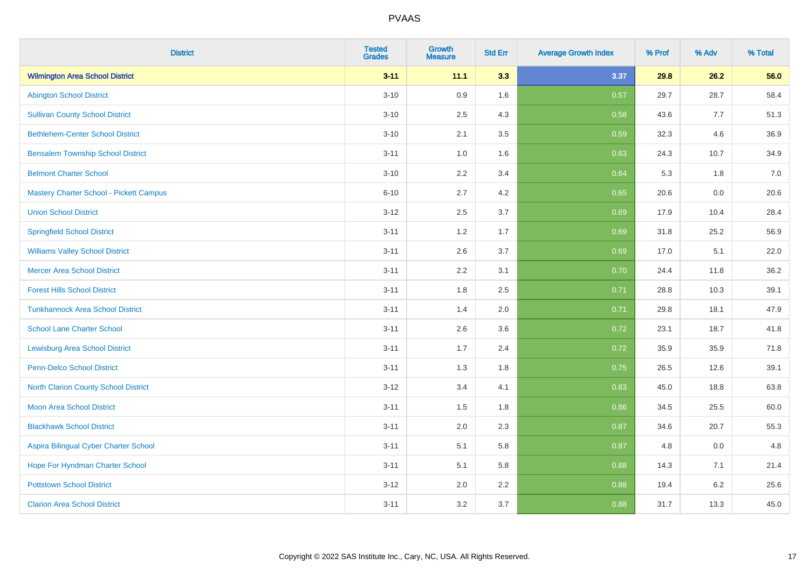| <b>District</b>                          | <b>Tested</b><br><b>Grades</b> | <b>Growth</b><br><b>Measure</b> | <b>Std Err</b> | <b>Average Growth Index</b> | % Prof | % Adv | % Total |
|------------------------------------------|--------------------------------|---------------------------------|----------------|-----------------------------|--------|-------|---------|
| <b>Wilmington Area School District</b>   | $3 - 11$                       | 11.1                            | 3.3            | 3.37                        | 29.8   | 26.2  | 56.0    |
| <b>Abington School District</b>          | $3 - 10$                       | 0.9                             | 1.6            | 0.57                        | 29.7   | 28.7  | 58.4    |
| <b>Sullivan County School District</b>   | $3 - 10$                       | 2.5                             | 4.3            | 0.58                        | 43.6   | 7.7   | 51.3    |
| <b>Bethlehem-Center School District</b>  | $3 - 10$                       | 2.1                             | 3.5            | 0.59                        | 32.3   | 4.6   | 36.9    |
| <b>Bensalem Township School District</b> | $3 - 11$                       | 1.0                             | 1.6            | 0.63                        | 24.3   | 10.7  | 34.9    |
| <b>Belmont Charter School</b>            | $3 - 10$                       | 2.2                             | 3.4            | 0.64                        | 5.3    | 1.8   | 7.0     |
| Mastery Charter School - Pickett Campus  | $6 - 10$                       | 2.7                             | 4.2            | 0.65                        | 20.6   | 0.0   | 20.6    |
| <b>Union School District</b>             | $3 - 12$                       | 2.5                             | 3.7            | 0.69                        | 17.9   | 10.4  | 28.4    |
| <b>Springfield School District</b>       | $3 - 11$                       | 1.2                             | 1.7            | 0.69                        | 31.8   | 25.2  | 56.9    |
| <b>Williams Valley School District</b>   | $3 - 11$                       | 2.6                             | 3.7            | 0.69                        | 17.0   | 5.1   | 22.0    |
| <b>Mercer Area School District</b>       | $3 - 11$                       | 2.2                             | 3.1            | 0.70                        | 24.4   | 11.8  | 36.2    |
| <b>Forest Hills School District</b>      | $3 - 11$                       | 1.8                             | 2.5            | 0.71                        | 28.8   | 10.3  | 39.1    |
| <b>Tunkhannock Area School District</b>  | $3 - 11$                       | 1.4                             | 2.0            | 0.71                        | 29.8   | 18.1  | 47.9    |
| <b>School Lane Charter School</b>        | $3 - 11$                       | 2.6                             | 3.6            | 0.72                        | 23.1   | 18.7  | 41.8    |
| <b>Lewisburg Area School District</b>    | $3 - 11$                       | 1.7                             | 2.4            | 0.72                        | 35.9   | 35.9  | 71.8    |
| Penn-Delco School District               | $3 - 11$                       | 1.3                             | 1.8            | 0.75                        | 26.5   | 12.6  | 39.1    |
| North Clarion County School District     | $3 - 12$                       | 3.4                             | 4.1            | 0.83                        | 45.0   | 18.8  | 63.8    |
| <b>Moon Area School District</b>         | $3 - 11$                       | 1.5                             | 1.8            | 0.86                        | 34.5   | 25.5  | 60.0    |
| <b>Blackhawk School District</b>         | $3 - 11$                       | 2.0                             | 2.3            | 0.87                        | 34.6   | 20.7  | 55.3    |
| Aspira Bilingual Cyber Charter School    | $3 - 11$                       | 5.1                             | 5.8            | 0.87                        | 4.8    | 0.0   | 4.8     |
| Hope For Hyndman Charter School          | $3 - 11$                       | 5.1                             | 5.8            | 0.88                        | 14.3   | 7.1   | 21.4    |
| <b>Pottstown School District</b>         | $3-12$                         | 2.0                             | 2.2            | 0.88                        | 19.4   | 6.2   | 25.6    |
| <b>Clarion Area School District</b>      | $3 - 11$                       | 3.2                             | 3.7            | 0.88                        | 31.7   | 13.3  | 45.0    |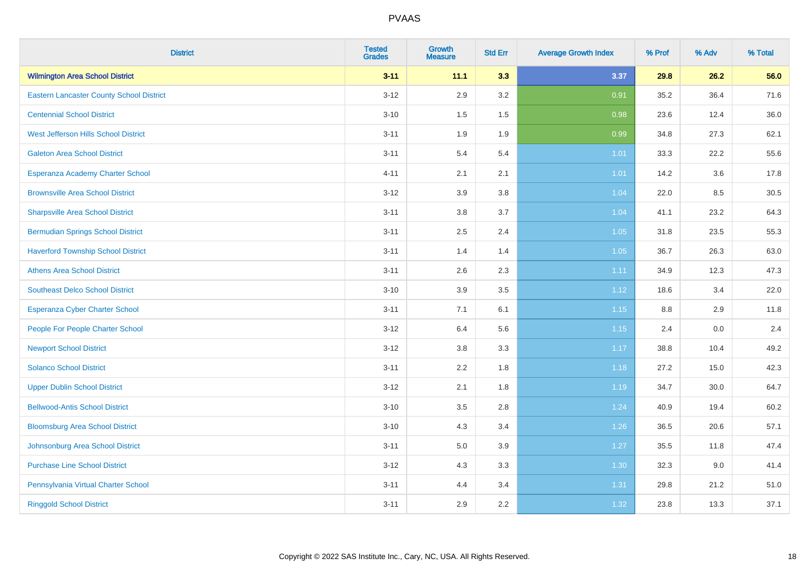| <b>District</b>                                 | <b>Tested</b><br><b>Grades</b> | <b>Growth</b><br><b>Measure</b> | <b>Std Err</b> | <b>Average Growth Index</b> | % Prof  | % Adv | % Total |
|-------------------------------------------------|--------------------------------|---------------------------------|----------------|-----------------------------|---------|-------|---------|
| <b>Wilmington Area School District</b>          | $3 - 11$                       | 11.1                            | 3.3            | 3.37                        | 29.8    | 26.2  | 56.0    |
| <b>Eastern Lancaster County School District</b> | $3 - 12$                       | 2.9                             | 3.2            | 0.91                        | 35.2    | 36.4  | 71.6    |
| <b>Centennial School District</b>               | $3 - 10$                       | 1.5                             | 1.5            | 0.98                        | 23.6    | 12.4  | 36.0    |
| West Jefferson Hills School District            | $3 - 11$                       | 1.9                             | 1.9            | 0.99                        | 34.8    | 27.3  | 62.1    |
| <b>Galeton Area School District</b>             | $3 - 11$                       | 5.4                             | 5.4            | $1.01$                      | 33.3    | 22.2  | 55.6    |
| Esperanza Academy Charter School                | $4 - 11$                       | 2.1                             | 2.1            | 1.01                        | 14.2    | 3.6   | 17.8    |
| <b>Brownsville Area School District</b>         | $3-12$                         | 3.9                             | 3.8            | 1.04                        | 22.0    | 8.5   | 30.5    |
| <b>Sharpsville Area School District</b>         | $3 - 11$                       | 3.8                             | 3.7            | 1.04                        | 41.1    | 23.2  | 64.3    |
| <b>Bermudian Springs School District</b>        | $3 - 11$                       | 2.5                             | 2.4            | 1.05                        | 31.8    | 23.5  | 55.3    |
| <b>Haverford Township School District</b>       | $3 - 11$                       | 1.4                             | 1.4            | 1.05                        | 36.7    | 26.3  | 63.0    |
| <b>Athens Area School District</b>              | $3 - 11$                       | 2.6                             | 2.3            | 1.11                        | 34.9    | 12.3  | 47.3    |
| <b>Southeast Delco School District</b>          | $3 - 10$                       | 3.9                             | 3.5            | 1.12                        | 18.6    | 3.4   | 22.0    |
| Esperanza Cyber Charter School                  | $3 - 11$                       | 7.1                             | 6.1            | 1.15                        | $8.8\,$ | 2.9   | 11.8    |
| People For People Charter School                | $3-12$                         | 6.4                             | 5.6            | 1.15                        | 2.4     | 0.0   | 2.4     |
| <b>Newport School District</b>                  | $3 - 12$                       | 3.8                             | 3.3            | $1.17$                      | 38.8    | 10.4  | 49.2    |
| <b>Solanco School District</b>                  | $3 - 11$                       | 2.2                             | 1.8            | 1.18                        | 27.2    | 15.0  | 42.3    |
| <b>Upper Dublin School District</b>             | $3-12$                         | 2.1                             | 1.8            | 1.19                        | 34.7    | 30.0  | 64.7    |
| <b>Bellwood-Antis School District</b>           | $3 - 10$                       | 3.5                             | 2.8            | 1.24                        | 40.9    | 19.4  | 60.2    |
| <b>Bloomsburg Area School District</b>          | $3 - 10$                       | 4.3                             | 3.4            | 1.26                        | 36.5    | 20.6  | 57.1    |
| Johnsonburg Area School District                | $3 - 11$                       | 5.0                             | 3.9            | 1.27                        | 35.5    | 11.8  | 47.4    |
| <b>Purchase Line School District</b>            | $3 - 12$                       | 4.3                             | 3.3            | 1.30                        | 32.3    | 9.0   | 41.4    |
| Pennsylvania Virtual Charter School             | $3 - 11$                       | 4.4                             | 3.4            | 1.31                        | 29.8    | 21.2  | 51.0    |
| <b>Ringgold School District</b>                 | $3 - 11$                       | 2.9                             | 2.2            | 1.32                        | 23.8    | 13.3  | 37.1    |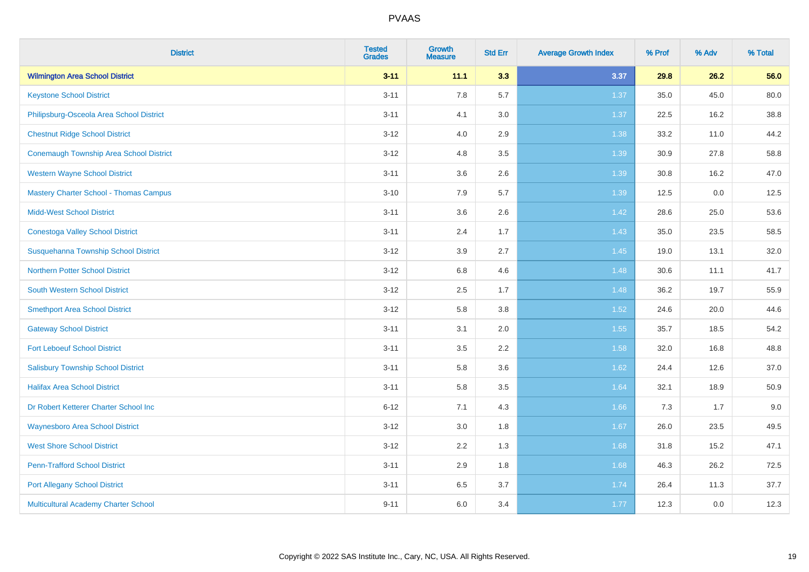| <b>District</b>                                | <b>Tested</b><br><b>Grades</b> | <b>Growth</b><br><b>Measure</b> | <b>Std Err</b> | <b>Average Growth Index</b> | % Prof | % Adv | % Total |
|------------------------------------------------|--------------------------------|---------------------------------|----------------|-----------------------------|--------|-------|---------|
| <b>Wilmington Area School District</b>         | $3 - 11$                       | 11.1                            | 3.3            | 3.37                        | 29.8   | 26.2  | 56.0    |
| <b>Keystone School District</b>                | $3 - 11$                       | 7.8                             | 5.7            | 1.37                        | 35.0   | 45.0  | 80.0    |
| Philipsburg-Osceola Area School District       | $3 - 11$                       | 4.1                             | 3.0            | 1.37                        | 22.5   | 16.2  | 38.8    |
| <b>Chestnut Ridge School District</b>          | $3 - 12$                       | 4.0                             | 2.9            | 1.38                        | 33.2   | 11.0  | 44.2    |
| <b>Conemaugh Township Area School District</b> | $3 - 12$                       | 4.8                             | 3.5            | 1.39                        | 30.9   | 27.8  | 58.8    |
| <b>Western Wayne School District</b>           | $3 - 11$                       | 3.6                             | 2.6            | 1.39                        | 30.8   | 16.2  | 47.0    |
| <b>Mastery Charter School - Thomas Campus</b>  | $3 - 10$                       | 7.9                             | 5.7            | 1.39                        | 12.5   | 0.0   | 12.5    |
| <b>Midd-West School District</b>               | $3 - 11$                       | 3.6                             | 2.6            | 1.42                        | 28.6   | 25.0  | 53.6    |
| <b>Conestoga Valley School District</b>        | $3 - 11$                       | 2.4                             | 1.7            | 1.43                        | 35.0   | 23.5  | 58.5    |
| Susquehanna Township School District           | $3 - 12$                       | 3.9                             | 2.7            | 1.45                        | 19.0   | 13.1  | 32.0    |
| <b>Northern Potter School District</b>         | $3 - 12$                       | $6.8\,$                         | 4.6            | 1.48                        | 30.6   | 11.1  | 41.7    |
| South Western School District                  | $3 - 12$                       | 2.5                             | 1.7            | 1.48                        | 36.2   | 19.7  | 55.9    |
| <b>Smethport Area School District</b>          | $3 - 12$                       | 5.8                             | 3.8            | 1.52                        | 24.6   | 20.0  | 44.6    |
| <b>Gateway School District</b>                 | $3 - 11$                       | 3.1                             | 2.0            | 1.55                        | 35.7   | 18.5  | 54.2    |
| <b>Fort Leboeuf School District</b>            | $3 - 11$                       | 3.5                             | 2.2            | 1.58                        | 32.0   | 16.8  | 48.8    |
| <b>Salisbury Township School District</b>      | $3 - 11$                       | 5.8                             | 3.6            | 1.62                        | 24.4   | 12.6  | 37.0    |
| <b>Halifax Area School District</b>            | $3 - 11$                       | 5.8                             | 3.5            | 1.64                        | 32.1   | 18.9  | 50.9    |
| Dr Robert Ketterer Charter School Inc          | $6 - 12$                       | 7.1                             | 4.3            | 1.66                        | 7.3    | 1.7   | 9.0     |
| <b>Waynesboro Area School District</b>         | $3 - 12$                       | 3.0                             | 1.8            | 1.67                        | 26.0   | 23.5  | 49.5    |
| <b>West Shore School District</b>              | $3 - 12$                       | 2.2                             | 1.3            | 1.68                        | 31.8   | 15.2  | 47.1    |
| <b>Penn-Trafford School District</b>           | $3 - 11$                       | 2.9                             | 1.8            | 1.68                        | 46.3   | 26.2  | 72.5    |
| <b>Port Allegany School District</b>           | $3 - 11$                       | 6.5                             | 3.7            | 1.74                        | 26.4   | 11.3  | 37.7    |
| Multicultural Academy Charter School           | $9 - 11$                       | 6.0                             | 3.4            | 1.77                        | 12.3   | 0.0   | 12.3    |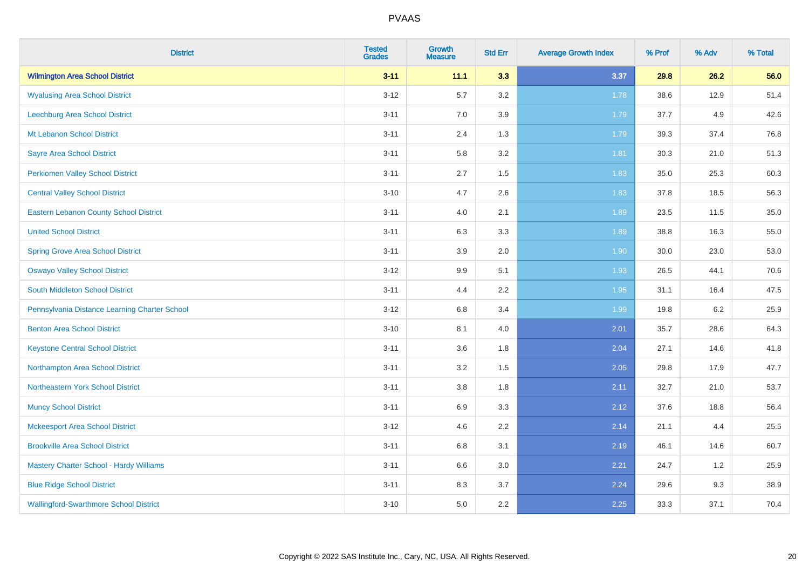| <b>District</b>                                | <b>Tested</b><br><b>Grades</b> | <b>Growth</b><br><b>Measure</b> | <b>Std Err</b> | <b>Average Growth Index</b> | % Prof | % Adv | % Total |
|------------------------------------------------|--------------------------------|---------------------------------|----------------|-----------------------------|--------|-------|---------|
| <b>Wilmington Area School District</b>         | $3 - 11$                       | 11.1                            | 3.3            | 3.37                        | 29.8   | 26.2  | 56.0    |
| <b>Wyalusing Area School District</b>          | $3 - 12$                       | 5.7                             | 3.2            | 1.78                        | 38.6   | 12.9  | 51.4    |
| Leechburg Area School District                 | $3 - 11$                       | 7.0                             | 3.9            | 1.79                        | 37.7   | 4.9   | 42.6    |
| Mt Lebanon School District                     | $3 - 11$                       | 2.4                             | 1.3            | 1.79                        | 39.3   | 37.4  | 76.8    |
| <b>Sayre Area School District</b>              | $3 - 11$                       | 5.8                             | 3.2            | 1.81                        | 30.3   | 21.0  | 51.3    |
| <b>Perkiomen Valley School District</b>        | $3 - 11$                       | 2.7                             | 1.5            | 1.83                        | 35.0   | 25.3  | 60.3    |
| <b>Central Valley School District</b>          | $3 - 10$                       | 4.7                             | 2.6            | 1.83                        | 37.8   | 18.5  | 56.3    |
| <b>Eastern Lebanon County School District</b>  | $3 - 11$                       | 4.0                             | 2.1            | 1.89                        | 23.5   | 11.5  | 35.0    |
| <b>United School District</b>                  | $3 - 11$                       | 6.3                             | 3.3            | 1.89                        | 38.8   | 16.3  | 55.0    |
| <b>Spring Grove Area School District</b>       | $3 - 11$                       | 3.9                             | 2.0            | 1.90                        | 30.0   | 23.0  | 53.0    |
| <b>Oswayo Valley School District</b>           | $3 - 12$                       | 9.9                             | 5.1            | 1.93                        | 26.5   | 44.1  | 70.6    |
| South Middleton School District                | $3 - 11$                       | 4.4                             | 2.2            | 1.95                        | 31.1   | 16.4  | 47.5    |
| Pennsylvania Distance Learning Charter School  | $3 - 12$                       | $6.8\,$                         | 3.4            | 1.99                        | 19.8   | 6.2   | 25.9    |
| <b>Benton Area School District</b>             | $3 - 10$                       | 8.1                             | 4.0            | 2.01                        | 35.7   | 28.6  | 64.3    |
| <b>Keystone Central School District</b>        | $3 - 11$                       | 3.6                             | 1.8            | 2.04                        | 27.1   | 14.6  | 41.8    |
| Northampton Area School District               | $3 - 11$                       | 3.2                             | 1.5            | 2.05                        | 29.8   | 17.9  | 47.7    |
| Northeastern York School District              | $3 - 11$                       | $3.8\,$                         | 1.8            | 2.11                        | 32.7   | 21.0  | 53.7    |
| <b>Muncy School District</b>                   | $3 - 11$                       | 6.9                             | 3.3            | 2.12                        | 37.6   | 18.8  | 56.4    |
| <b>Mckeesport Area School District</b>         | $3 - 12$                       | 4.6                             | 2.2            | 2.14                        | 21.1   | 4.4   | 25.5    |
| <b>Brookville Area School District</b>         | $3 - 11$                       | $6.8\,$                         | 3.1            | 2.19                        | 46.1   | 14.6  | 60.7    |
| <b>Mastery Charter School - Hardy Williams</b> | $3 - 11$                       | 6.6                             | 3.0            | 2.21                        | 24.7   | 1.2   | 25.9    |
| <b>Blue Ridge School District</b>              | $3 - 11$                       | 8.3                             | 3.7            | 2.24                        | 29.6   | 9.3   | 38.9    |
| <b>Wallingford-Swarthmore School District</b>  | $3 - 10$                       | 5.0                             | 2.2            | 2.25                        | 33.3   | 37.1  | 70.4    |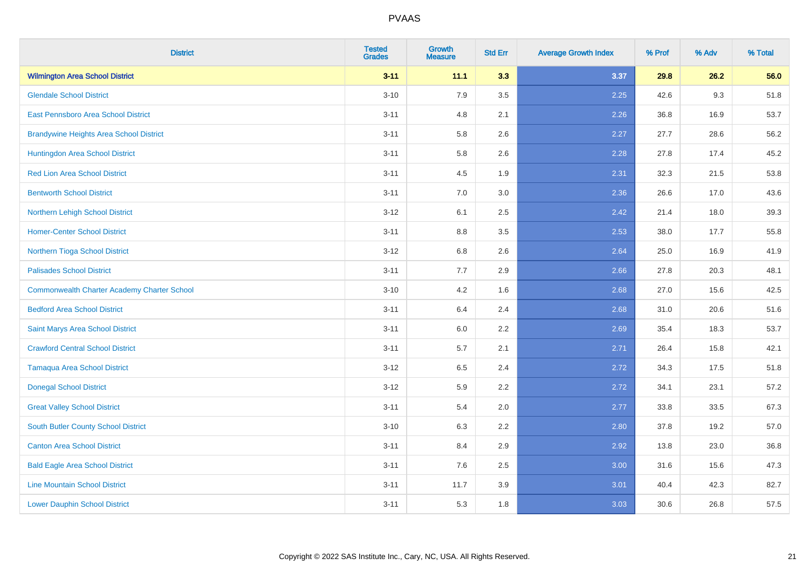| <b>District</b>                                    | <b>Tested</b><br><b>Grades</b> | <b>Growth</b><br><b>Measure</b> | <b>Std Err</b> | <b>Average Growth Index</b> | % Prof | % Adv | % Total |
|----------------------------------------------------|--------------------------------|---------------------------------|----------------|-----------------------------|--------|-------|---------|
| <b>Wilmington Area School District</b>             | $3 - 11$                       | 11.1                            | 3.3            | 3.37                        | 29.8   | 26.2  | 56.0    |
| <b>Glendale School District</b>                    | $3 - 10$                       | 7.9                             | 3.5            | 2.25                        | 42.6   | 9.3   | 51.8    |
| <b>East Pennsboro Area School District</b>         | $3 - 11$                       | 4.8                             | 2.1            | 2.26                        | 36.8   | 16.9  | 53.7    |
| <b>Brandywine Heights Area School District</b>     | $3 - 11$                       | 5.8                             | 2.6            | 2.27                        | 27.7   | 28.6  | 56.2    |
| Huntingdon Area School District                    | $3 - 11$                       | 5.8                             | 2.6            | 2.28                        | 27.8   | 17.4  | 45.2    |
| <b>Red Lion Area School District</b>               | $3 - 11$                       | 4.5                             | 1.9            | 2.31                        | 32.3   | 21.5  | 53.8    |
| <b>Bentworth School District</b>                   | $3 - 11$                       | 7.0                             | 3.0            | 2.36                        | 26.6   | 17.0  | 43.6    |
| Northern Lehigh School District                    | $3 - 12$                       | 6.1                             | 2.5            | 2.42                        | 21.4   | 18.0  | 39.3    |
| <b>Homer-Center School District</b>                | $3 - 11$                       | 8.8                             | 3.5            | 2.53                        | 38.0   | 17.7  | 55.8    |
| Northern Tioga School District                     | $3 - 12$                       | 6.8                             | 2.6            | 2.64                        | 25.0   | 16.9  | 41.9    |
| <b>Palisades School District</b>                   | $3 - 11$                       | 7.7                             | 2.9            | 2.66                        | 27.8   | 20.3  | 48.1    |
| <b>Commonwealth Charter Academy Charter School</b> | $3 - 10$                       | 4.2                             | 1.6            | 2.68                        | 27.0   | 15.6  | 42.5    |
| <b>Bedford Area School District</b>                | $3 - 11$                       | 6.4                             | 2.4            | 2.68                        | 31.0   | 20.6  | 51.6    |
| Saint Marys Area School District                   | $3 - 11$                       | $6.0\,$                         | 2.2            | 2.69                        | 35.4   | 18.3  | 53.7    |
| <b>Crawford Central School District</b>            | $3 - 11$                       | 5.7                             | 2.1            | 2.71                        | 26.4   | 15.8  | 42.1    |
| <b>Tamaqua Area School District</b>                | $3 - 12$                       | 6.5                             | 2.4            | 2.72                        | 34.3   | 17.5  | 51.8    |
| <b>Donegal School District</b>                     | $3 - 12$                       | 5.9                             | 2.2            | 2.72                        | 34.1   | 23.1  | 57.2    |
| <b>Great Valley School District</b>                | $3 - 11$                       | 5.4                             | 2.0            | 2.77                        | 33.8   | 33.5  | 67.3    |
| <b>South Butler County School District</b>         | $3 - 10$                       | 6.3                             | 2.2            | 2.80                        | 37.8   | 19.2  | 57.0    |
| <b>Canton Area School District</b>                 | $3 - 11$                       | 8.4                             | 2.9            | 2.92                        | 13.8   | 23.0  | 36.8    |
| <b>Bald Eagle Area School District</b>             | $3 - 11$                       | 7.6                             | 2.5            | 3.00                        | 31.6   | 15.6  | 47.3    |
| <b>Line Mountain School District</b>               | $3 - 11$                       | 11.7                            | 3.9            | 3.01                        | 40.4   | 42.3  | 82.7    |
| <b>Lower Dauphin School District</b>               | $3 - 11$                       | 5.3                             | 1.8            | 3.03                        | 30.6   | 26.8  | 57.5    |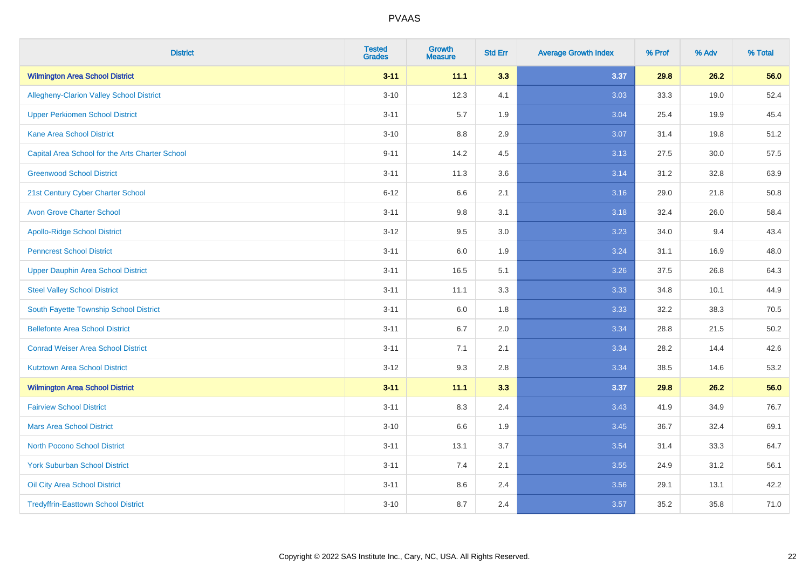| <b>District</b>                                 | <b>Tested</b><br><b>Grades</b> | <b>Growth</b><br><b>Measure</b> | <b>Std Err</b> | <b>Average Growth Index</b> | % Prof | % Adv | % Total |
|-------------------------------------------------|--------------------------------|---------------------------------|----------------|-----------------------------|--------|-------|---------|
| <b>Wilmington Area School District</b>          | $3 - 11$                       | 11.1                            | 3.3            | 3.37                        | 29.8   | 26.2  | 56.0    |
| <b>Allegheny-Clarion Valley School District</b> | $3 - 10$                       | 12.3                            | 4.1            | 3.03                        | 33.3   | 19.0  | 52.4    |
| <b>Upper Perkiomen School District</b>          | $3 - 11$                       | 5.7                             | 1.9            | 3.04                        | 25.4   | 19.9  | 45.4    |
| <b>Kane Area School District</b>                | $3 - 10$                       | 8.8                             | 2.9            | 3.07                        | 31.4   | 19.8  | 51.2    |
| Capital Area School for the Arts Charter School | $9 - 11$                       | 14.2                            | 4.5            | 3.13                        | 27.5   | 30.0  | 57.5    |
| <b>Greenwood School District</b>                | $3 - 11$                       | 11.3                            | 3.6            | 3.14                        | 31.2   | 32.8  | 63.9    |
| 21st Century Cyber Charter School               | $6 - 12$                       | 6.6                             | 2.1            | 3.16                        | 29.0   | 21.8  | 50.8    |
| <b>Avon Grove Charter School</b>                | $3 - 11$                       | 9.8                             | 3.1            | 3.18                        | 32.4   | 26.0  | 58.4    |
| <b>Apollo-Ridge School District</b>             | $3 - 12$                       | 9.5                             | 3.0            | 3.23                        | 34.0   | 9.4   | 43.4    |
| <b>Penncrest School District</b>                | $3 - 11$                       | 6.0                             | 1.9            | 3.24                        | 31.1   | 16.9  | 48.0    |
| <b>Upper Dauphin Area School District</b>       | $3 - 11$                       | 16.5                            | 5.1            | 3.26                        | 37.5   | 26.8  | 64.3    |
| <b>Steel Valley School District</b>             | $3 - 11$                       | 11.1                            | 3.3            | 3.33                        | 34.8   | 10.1  | 44.9    |
| South Fayette Township School District          | $3 - 11$                       | 6.0                             | 1.8            | 3.33                        | 32.2   | 38.3  | 70.5    |
| <b>Bellefonte Area School District</b>          | $3 - 11$                       | 6.7                             | 2.0            | 3.34                        | 28.8   | 21.5  | 50.2    |
| <b>Conrad Weiser Area School District</b>       | $3 - 11$                       | 7.1                             | 2.1            | 3.34                        | 28.2   | 14.4  | 42.6    |
| <b>Kutztown Area School District</b>            | $3 - 12$                       | 9.3                             | 2.8            | 3.34                        | 38.5   | 14.6  | 53.2    |
| <b>Wilmington Area School District</b>          | $3 - 11$                       | 11.1                            | 3.3            | 3.37                        | 29.8   | 26.2  | 56.0    |
| <b>Fairview School District</b>                 | $3 - 11$                       | 8.3                             | 2.4            | 3.43                        | 41.9   | 34.9  | 76.7    |
| <b>Mars Area School District</b>                | $3 - 10$                       | 6.6                             | 1.9            | 3.45                        | 36.7   | 32.4  | 69.1    |
| <b>North Pocono School District</b>             | $3 - 11$                       | 13.1                            | 3.7            | 3.54                        | 31.4   | 33.3  | 64.7    |
| <b>York Suburban School District</b>            | $3 - 11$                       | 7.4                             | 2.1            | 3.55                        | 24.9   | 31.2  | 56.1    |
| Oil City Area School District                   | $3 - 11$                       | 8.6                             | 2.4            | 3.56                        | 29.1   | 13.1  | 42.2    |
| <b>Tredyffrin-Easttown School District</b>      | $3 - 10$                       | 8.7                             | 2.4            | 3.57                        | 35.2   | 35.8  | 71.0    |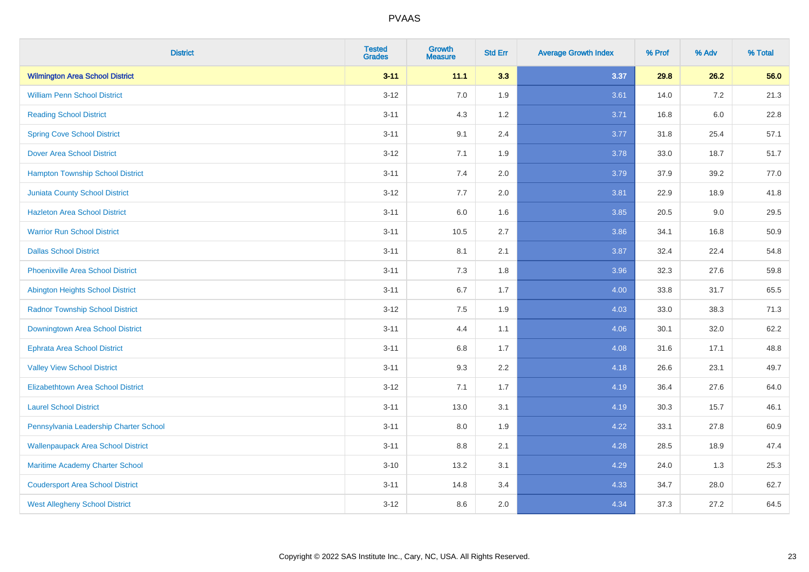| <b>District</b>                           | <b>Tested</b><br><b>Grades</b> | <b>Growth</b><br><b>Measure</b> | <b>Std Err</b> | <b>Average Growth Index</b> | % Prof | % Adv   | % Total |
|-------------------------------------------|--------------------------------|---------------------------------|----------------|-----------------------------|--------|---------|---------|
| <b>Wilmington Area School District</b>    | $3 - 11$                       | 11.1                            | 3.3            | 3.37                        | 29.8   | 26.2    | 56.0    |
| <b>William Penn School District</b>       | $3 - 12$                       | 7.0                             | 1.9            | 3.61                        | 14.0   | $7.2\,$ | 21.3    |
| <b>Reading School District</b>            | $3 - 11$                       | 4.3                             | 1.2            | 3.71                        | 16.8   | $6.0\,$ | 22.8    |
| <b>Spring Cove School District</b>        | $3 - 11$                       | 9.1                             | 2.4            | 3.77                        | 31.8   | 25.4    | 57.1    |
| <b>Dover Area School District</b>         | $3 - 12$                       | 7.1                             | 1.9            | 3.78                        | 33.0   | 18.7    | 51.7    |
| <b>Hampton Township School District</b>   | $3 - 11$                       | 7.4                             | 2.0            | 3.79                        | 37.9   | 39.2    | 77.0    |
| <b>Juniata County School District</b>     | $3 - 12$                       | 7.7                             | 2.0            | 3.81                        | 22.9   | 18.9    | 41.8    |
| <b>Hazleton Area School District</b>      | $3 - 11$                       | 6.0                             | 1.6            | 3.85                        | 20.5   | 9.0     | 29.5    |
| <b>Warrior Run School District</b>        | $3 - 11$                       | 10.5                            | 2.7            | 3.86                        | 34.1   | 16.8    | 50.9    |
| <b>Dallas School District</b>             | $3 - 11$                       | 8.1                             | 2.1            | 3.87                        | 32.4   | 22.4    | 54.8    |
| <b>Phoenixville Area School District</b>  | $3 - 11$                       | 7.3                             | 1.8            | 3.96                        | 32.3   | 27.6    | 59.8    |
| Abington Heights School District          | $3 - 11$                       | 6.7                             | 1.7            | 4.00                        | 33.8   | 31.7    | 65.5    |
| <b>Radnor Township School District</b>    | $3 - 12$                       | $7.5\,$                         | 1.9            | 4.03                        | 33.0   | 38.3    | 71.3    |
| Downingtown Area School District          | $3 - 11$                       | 4.4                             | 1.1            | 4.06                        | 30.1   | 32.0    | 62.2    |
| <b>Ephrata Area School District</b>       | $3 - 11$                       | 6.8                             | 1.7            | 4.08                        | 31.6   | 17.1    | 48.8    |
| <b>Valley View School District</b>        | $3 - 11$                       | 9.3                             | 2.2            | 4.18                        | 26.6   | 23.1    | 49.7    |
| <b>Elizabethtown Area School District</b> | $3 - 12$                       | 7.1                             | 1.7            | 4.19                        | 36.4   | 27.6    | 64.0    |
| <b>Laurel School District</b>             | $3 - 11$                       | 13.0                            | 3.1            | 4.19                        | 30.3   | 15.7    | 46.1    |
| Pennsylvania Leadership Charter School    | $3 - 11$                       | 8.0                             | 1.9            | 4.22                        | 33.1   | 27.8    | 60.9    |
| <b>Wallenpaupack Area School District</b> | $3 - 11$                       | 8.8                             | 2.1            | 4.28                        | 28.5   | 18.9    | 47.4    |
| Maritime Academy Charter School           | $3 - 10$                       | 13.2                            | 3.1            | 4.29                        | 24.0   | 1.3     | 25.3    |
| <b>Coudersport Area School District</b>   | $3 - 11$                       | 14.8                            | 3.4            | 4.33                        | 34.7   | 28.0    | 62.7    |
| <b>West Allegheny School District</b>     | $3 - 12$                       | 8.6                             | 2.0            | 4.34                        | 37.3   | 27.2    | 64.5    |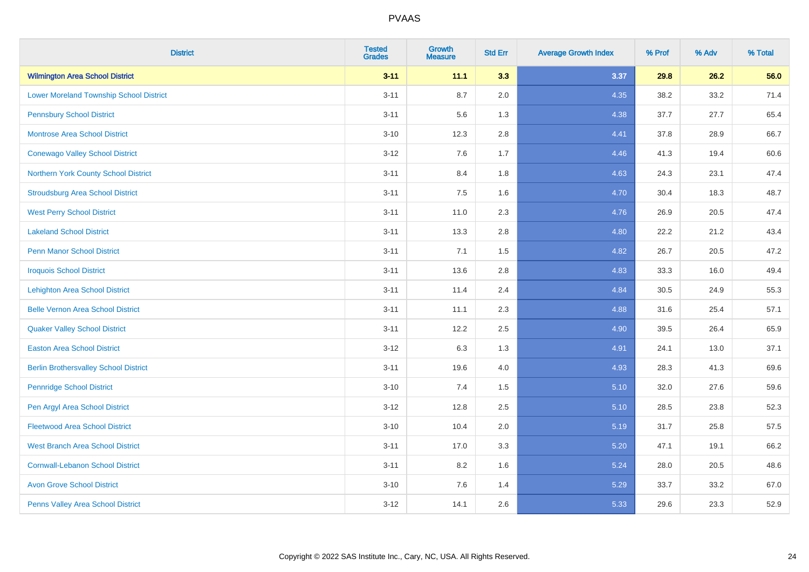| <b>District</b>                                | <b>Tested</b><br><b>Grades</b> | <b>Growth</b><br><b>Measure</b> | <b>Std Err</b> | <b>Average Growth Index</b> | % Prof | % Adv | % Total |
|------------------------------------------------|--------------------------------|---------------------------------|----------------|-----------------------------|--------|-------|---------|
| <b>Wilmington Area School District</b>         | $3 - 11$                       | 11.1                            | 3.3            | 3.37                        | 29.8   | 26.2  | 56.0    |
| <b>Lower Moreland Township School District</b> | $3 - 11$                       | 8.7                             | 2.0            | 4.35                        | 38.2   | 33.2  | 71.4    |
| <b>Pennsbury School District</b>               | $3 - 11$                       | 5.6                             | 1.3            | 4.38                        | 37.7   | 27.7  | 65.4    |
| <b>Montrose Area School District</b>           | $3 - 10$                       | 12.3                            | 2.8            | 4.41                        | 37.8   | 28.9  | 66.7    |
| <b>Conewago Valley School District</b>         | $3 - 12$                       | 7.6                             | 1.7            | 4.46                        | 41.3   | 19.4  | 60.6    |
| Northern York County School District           | $3 - 11$                       | 8.4                             | 1.8            | 4.63                        | 24.3   | 23.1  | 47.4    |
| <b>Stroudsburg Area School District</b>        | $3 - 11$                       | 7.5                             | 1.6            | 4.70                        | 30.4   | 18.3  | 48.7    |
| <b>West Perry School District</b>              | $3 - 11$                       | 11.0                            | 2.3            | 4.76                        | 26.9   | 20.5  | 47.4    |
| <b>Lakeland School District</b>                | $3 - 11$                       | 13.3                            | 2.8            | 4.80                        | 22.2   | 21.2  | 43.4    |
| <b>Penn Manor School District</b>              | $3 - 11$                       | 7.1                             | 1.5            | 4.82                        | 26.7   | 20.5  | 47.2    |
| <b>Iroquois School District</b>                | $3 - 11$                       | 13.6                            | 2.8            | 4.83                        | 33.3   | 16.0  | 49.4    |
| <b>Lehighton Area School District</b>          | $3 - 11$                       | 11.4                            | 2.4            | 4.84                        | 30.5   | 24.9  | 55.3    |
| <b>Belle Vernon Area School District</b>       | $3 - 11$                       | 11.1                            | 2.3            | 4.88                        | 31.6   | 25.4  | 57.1    |
| <b>Quaker Valley School District</b>           | $3 - 11$                       | 12.2                            | 2.5            | 4.90                        | 39.5   | 26.4  | 65.9    |
| <b>Easton Area School District</b>             | $3 - 12$                       | 6.3                             | 1.3            | 4.91                        | 24.1   | 13.0  | 37.1    |
| <b>Berlin Brothersvalley School District</b>   | $3 - 11$                       | 19.6                            | 4.0            | 4.93                        | 28.3   | 41.3  | 69.6    |
| <b>Pennridge School District</b>               | $3 - 10$                       | 7.4                             | 1.5            | 5.10                        | 32.0   | 27.6  | 59.6    |
| Pen Argyl Area School District                 | $3 - 12$                       | 12.8                            | 2.5            | 5.10                        | 28.5   | 23.8  | 52.3    |
| <b>Fleetwood Area School District</b>          | $3 - 10$                       | 10.4                            | 2.0            | 5.19                        | 31.7   | 25.8  | 57.5    |
| <b>West Branch Area School District</b>        | $3 - 11$                       | 17.0                            | 3.3            | 5.20                        | 47.1   | 19.1  | 66.2    |
| <b>Cornwall-Lebanon School District</b>        | $3 - 11$                       | 8.2                             | 1.6            | 5.24                        | 28.0   | 20.5  | 48.6    |
| <b>Avon Grove School District</b>              | $3 - 10$                       | 7.6                             | 1.4            | 5.29                        | 33.7   | 33.2  | 67.0    |
| Penns Valley Area School District              | $3 - 12$                       | 14.1                            | 2.6            | 5.33                        | 29.6   | 23.3  | 52.9    |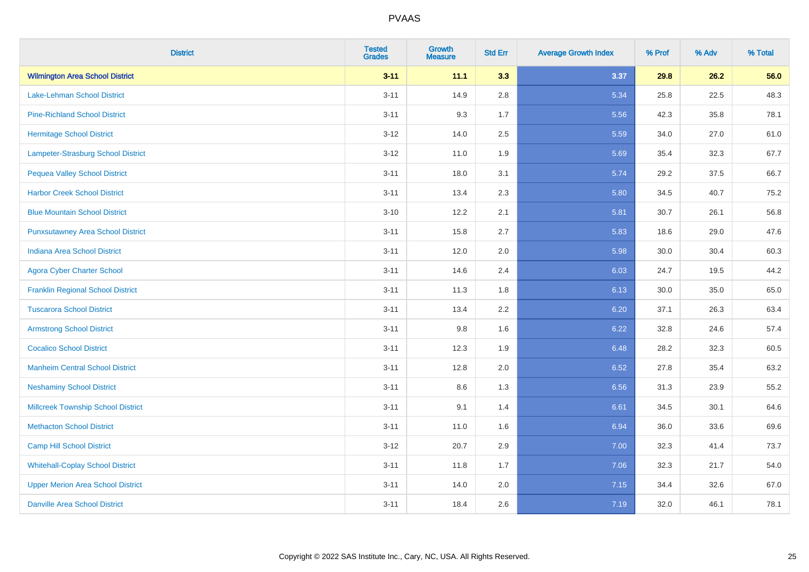| <b>District</b>                           | <b>Tested</b><br><b>Grades</b> | <b>Growth</b><br><b>Measure</b> | <b>Std Err</b> | <b>Average Growth Index</b> | % Prof | % Adv | % Total |
|-------------------------------------------|--------------------------------|---------------------------------|----------------|-----------------------------|--------|-------|---------|
| <b>Wilmington Area School District</b>    | $3 - 11$                       | 11.1                            | 3.3            | 3.37                        | 29.8   | 26.2  | 56.0    |
| Lake-Lehman School District               | $3 - 11$                       | 14.9                            | 2.8            | 5.34                        | 25.8   | 22.5  | 48.3    |
| <b>Pine-Richland School District</b>      | $3 - 11$                       | 9.3                             | 1.7            | 5.56                        | 42.3   | 35.8  | 78.1    |
| Hermitage School District                 | $3 - 12$                       | 14.0                            | 2.5            | 5.59                        | 34.0   | 27.0  | 61.0    |
| Lampeter-Strasburg School District        | $3 - 12$                       | 11.0                            | 1.9            | 5.69                        | 35.4   | 32.3  | 67.7    |
| <b>Pequea Valley School District</b>      | $3 - 11$                       | 18.0                            | 3.1            | 5.74                        | 29.2   | 37.5  | 66.7    |
| <b>Harbor Creek School District</b>       | $3 - 11$                       | 13.4                            | 2.3            | 5.80                        | 34.5   | 40.7  | 75.2    |
| <b>Blue Mountain School District</b>      | $3 - 10$                       | 12.2                            | 2.1            | 5.81                        | 30.7   | 26.1  | 56.8    |
| <b>Punxsutawney Area School District</b>  | $3 - 11$                       | 15.8                            | 2.7            | 5.83                        | 18.6   | 29.0  | 47.6    |
| <b>Indiana Area School District</b>       | $3 - 11$                       | 12.0                            | 2.0            | 5.98                        | 30.0   | 30.4  | 60.3    |
| <b>Agora Cyber Charter School</b>         | $3 - 11$                       | 14.6                            | 2.4            | 6.03                        | 24.7   | 19.5  | 44.2    |
| <b>Franklin Regional School District</b>  | $3 - 11$                       | 11.3                            | 1.8            | 6.13                        | 30.0   | 35.0  | 65.0    |
| <b>Tuscarora School District</b>          | $3 - 11$                       | 13.4                            | 2.2            | 6.20                        | 37.1   | 26.3  | 63.4    |
| <b>Armstrong School District</b>          | $3 - 11$                       | 9.8                             | 1.6            | 6.22                        | 32.8   | 24.6  | 57.4    |
| <b>Cocalico School District</b>           | $3 - 11$                       | 12.3                            | 1.9            | 6.48                        | 28.2   | 32.3  | 60.5    |
| <b>Manheim Central School District</b>    | $3 - 11$                       | 12.8                            | 2.0            | 6.52                        | 27.8   | 35.4  | 63.2    |
| <b>Neshaminy School District</b>          | $3 - 11$                       | 8.6                             | 1.3            | 6.56                        | 31.3   | 23.9  | 55.2    |
| <b>Millcreek Township School District</b> | $3 - 11$                       | 9.1                             | 1.4            | 6.61                        | 34.5   | 30.1  | 64.6    |
| <b>Methacton School District</b>          | $3 - 11$                       | 11.0                            | 1.6            | 6.94                        | 36.0   | 33.6  | 69.6    |
| <b>Camp Hill School District</b>          | $3 - 12$                       | 20.7                            | 2.9            | 7.00                        | 32.3   | 41.4  | 73.7    |
| <b>Whitehall-Coplay School District</b>   | $3 - 11$                       | 11.8                            | 1.7            | 7.06                        | 32.3   | 21.7  | 54.0    |
| <b>Upper Merion Area School District</b>  | $3 - 11$                       | 14.0                            | 2.0            | 7.15                        | 34.4   | 32.6  | 67.0    |
| <b>Danville Area School District</b>      | $3 - 11$                       | 18.4                            | 2.6            | 7.19                        | 32.0   | 46.1  | 78.1    |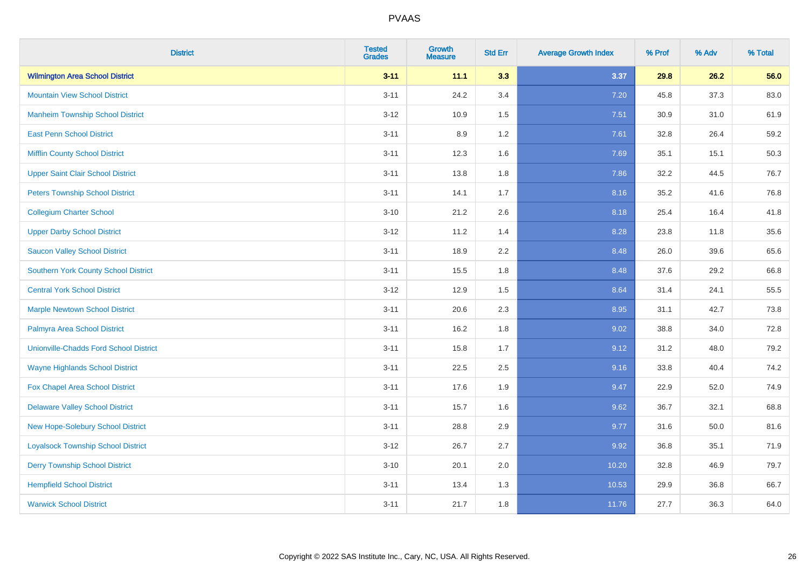| <b>District</b>                               | <b>Tested</b><br><b>Grades</b> | <b>Growth</b><br><b>Measure</b> | <b>Std Err</b> | <b>Average Growth Index</b> | % Prof | % Adv | % Total |
|-----------------------------------------------|--------------------------------|---------------------------------|----------------|-----------------------------|--------|-------|---------|
| <b>Wilmington Area School District</b>        | $3 - 11$                       | 11.1                            | 3.3            | 3.37                        | 29.8   | 26.2  | 56.0    |
| <b>Mountain View School District</b>          | $3 - 11$                       | 24.2                            | 3.4            | 7.20                        | 45.8   | 37.3  | 83.0    |
| <b>Manheim Township School District</b>       | $3 - 12$                       | 10.9                            | 1.5            | 7.51                        | 30.9   | 31.0  | 61.9    |
| <b>East Penn School District</b>              | $3 - 11$                       | 8.9                             | 1.2            | 7.61                        | 32.8   | 26.4  | 59.2    |
| <b>Mifflin County School District</b>         | $3 - 11$                       | 12.3                            | 1.6            | 7.69                        | 35.1   | 15.1  | 50.3    |
| <b>Upper Saint Clair School District</b>      | $3 - 11$                       | 13.8                            | 1.8            | 7.86                        | 32.2   | 44.5  | 76.7    |
| <b>Peters Township School District</b>        | $3 - 11$                       | 14.1                            | 1.7            | 8.16                        | 35.2   | 41.6  | 76.8    |
| <b>Collegium Charter School</b>               | $3 - 10$                       | 21.2                            | 2.6            | 8.18                        | 25.4   | 16.4  | 41.8    |
| <b>Upper Darby School District</b>            | $3 - 12$                       | 11.2                            | 1.4            | 8.28                        | 23.8   | 11.8  | 35.6    |
| <b>Saucon Valley School District</b>          | $3 - 11$                       | 18.9                            | 2.2            | 8.48                        | 26.0   | 39.6  | 65.6    |
| <b>Southern York County School District</b>   | $3 - 11$                       | 15.5                            | 1.8            | 8.48                        | 37.6   | 29.2  | 66.8    |
| <b>Central York School District</b>           | $3 - 12$                       | 12.9                            | 1.5            | 8.64                        | 31.4   | 24.1  | 55.5    |
| <b>Marple Newtown School District</b>         | $3 - 11$                       | 20.6                            | 2.3            | 8.95                        | 31.1   | 42.7  | 73.8    |
| Palmyra Area School District                  | $3 - 11$                       | 16.2                            | 1.8            | 9.02                        | 38.8   | 34.0  | 72.8    |
| <b>Unionville-Chadds Ford School District</b> | $3 - 11$                       | 15.8                            | 1.7            | 9.12                        | 31.2   | 48.0  | 79.2    |
| <b>Wayne Highlands School District</b>        | $3 - 11$                       | 22.5                            | 2.5            | 9.16                        | 33.8   | 40.4  | 74.2    |
| Fox Chapel Area School District               | $3 - 11$                       | 17.6                            | 1.9            | 9.47                        | 22.9   | 52.0  | 74.9    |
| <b>Delaware Valley School District</b>        | $3 - 11$                       | 15.7                            | 1.6            | 9.62                        | 36.7   | 32.1  | 68.8    |
| <b>New Hope-Solebury School District</b>      | $3 - 11$                       | 28.8                            | 2.9            | 9.77                        | 31.6   | 50.0  | 81.6    |
| <b>Loyalsock Township School District</b>     | $3-12$                         | 26.7                            | 2.7            | 9.92                        | 36.8   | 35.1  | 71.9    |
| <b>Derry Township School District</b>         | $3 - 10$                       | 20.1                            | 2.0            | 10.20                       | 32.8   | 46.9  | 79.7    |
| <b>Hempfield School District</b>              | $3 - 11$                       | 13.4                            | 1.3            | 10.53                       | 29.9   | 36.8  | 66.7    |
| <b>Warwick School District</b>                | $3 - 11$                       | 21.7                            | 1.8            | 11.76                       | 27.7   | 36.3  | 64.0    |